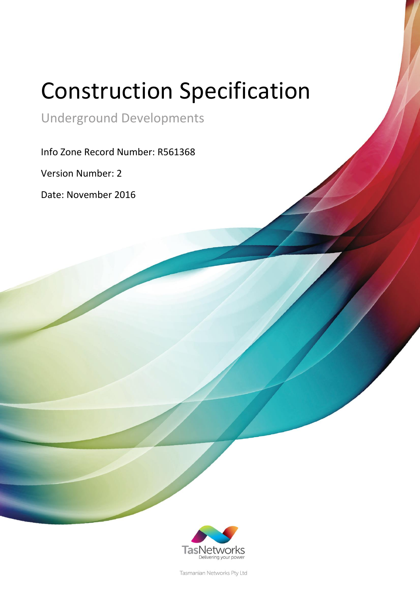# Construction Specification

Underground Developments

Info Zone Record Number: R561368

Version Number: 2

Date: November 2016



Tasmanian Networks Pty Ltd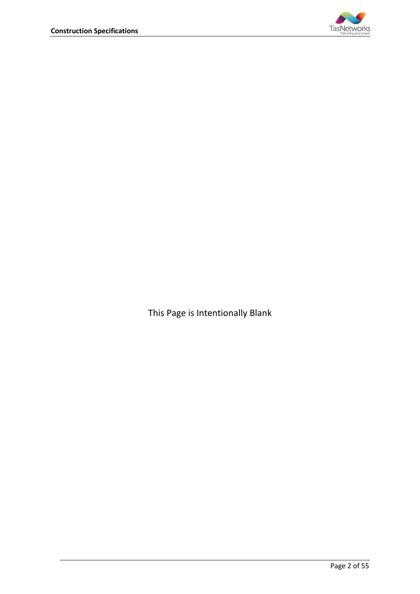

This Page is Intentionally Blank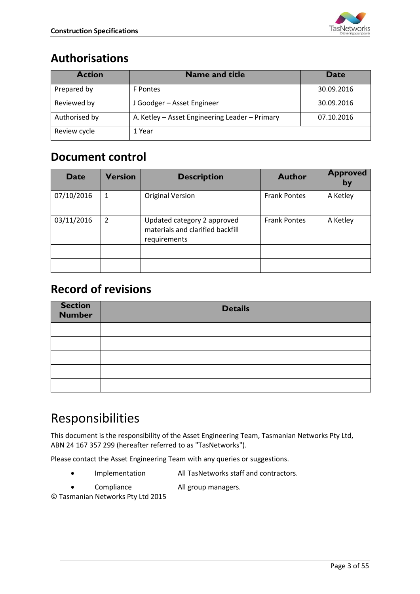

# **Authorisations**

| <b>Action</b> | <b>Name and title</b>                          | <b>Date</b> |
|---------------|------------------------------------------------|-------------|
| Prepared by   | <b>F</b> Pontes                                | 30.09.2016  |
| Reviewed by   | J Goodger - Asset Engineer                     | 30.09.2016  |
| Authorised by | A. Ketley - Asset Engineering Leader - Primary | 07.10.2016  |
| Review cycle  | 1 Year                                         |             |

# **Document control**

| <b>Date</b> | <b>Version</b> | <b>Description</b>                                                              | <b>Author</b>       | <b>Approved</b><br>by |
|-------------|----------------|---------------------------------------------------------------------------------|---------------------|-----------------------|
| 07/10/2016  | 1              | <b>Original Version</b>                                                         | <b>Frank Pontes</b> | A Ketley              |
| 03/11/2016  | 2              | Updated category 2 approved<br>materials and clarified backfill<br>requirements | <b>Frank Pontes</b> | A Ketley              |
|             |                |                                                                                 |                     |                       |
|             |                |                                                                                 |                     |                       |

# **Record of revisions**

| Section<br>Number | <b>Details</b> |
|-------------------|----------------|
|                   |                |
|                   |                |
|                   |                |
|                   |                |
|                   |                |

# Responsibilities

This document is the responsibility of the Asset Engineering Team, Tasmanian Networks Pty Ltd, ABN 24 167 357 299 (hereafter referred to as "TasNetworks").

Please contact the Asset Engineering Team with any queries or suggestions.

- Implementation All TasNetworks staff and contractors.
- Compliance All group managers.

© Tasmanian Networks Pty Ltd 2015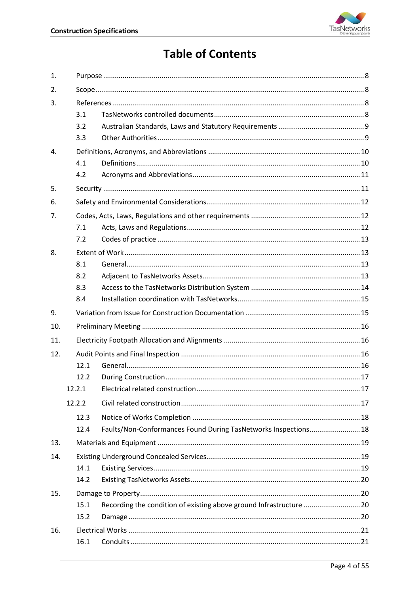

# **Table of Contents**

| 1.  |        |                                                                     |  |
|-----|--------|---------------------------------------------------------------------|--|
| 2.  |        |                                                                     |  |
| 3.  |        |                                                                     |  |
|     | 3.1    |                                                                     |  |
|     | 3.2    |                                                                     |  |
|     | 3.3    |                                                                     |  |
| 4.  |        |                                                                     |  |
|     | 4.1    |                                                                     |  |
|     | 4.2    |                                                                     |  |
| 5.  |        |                                                                     |  |
| 6.  |        |                                                                     |  |
| 7.  |        |                                                                     |  |
|     | 7.1    |                                                                     |  |
|     | 7.2    |                                                                     |  |
| 8.  |        |                                                                     |  |
|     | 8.1    |                                                                     |  |
|     | 8.2    |                                                                     |  |
|     | 8.3    |                                                                     |  |
|     | 8.4    |                                                                     |  |
| 9.  |        |                                                                     |  |
| 10. |        |                                                                     |  |
| 11. |        |                                                                     |  |
| 12. |        |                                                                     |  |
|     | 12.1   |                                                                     |  |
|     | 12.2   |                                                                     |  |
|     | 12.2.1 |                                                                     |  |
|     | 12.2.2 |                                                                     |  |
|     | 12.3   |                                                                     |  |
|     | 12.4   | Faults/Non-Conformances Found During TasNetworks Inspections 18     |  |
| 13. |        |                                                                     |  |
| 14. |        |                                                                     |  |
|     | 14.1   |                                                                     |  |
|     | 14.2   |                                                                     |  |
| 15. |        |                                                                     |  |
|     | 15.1   | Recording the condition of existing above ground Infrastructure  20 |  |
|     | 15.2   |                                                                     |  |
| 16. |        |                                                                     |  |
|     | 16.1   |                                                                     |  |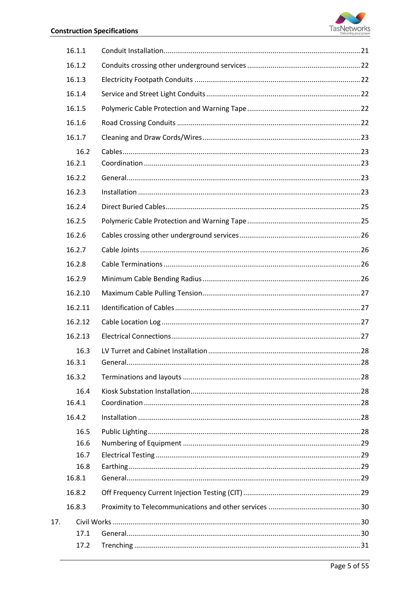|     | 16.1.1  |  |
|-----|---------|--|
|     | 16.1.2  |  |
|     | 16.1.3  |  |
|     | 16.1.4  |  |
|     | 16.1.5  |  |
|     | 16.1.6  |  |
|     | 16.1.7  |  |
|     | 16.2    |  |
|     | 16.2.1  |  |
|     | 16.2.2  |  |
|     | 16.2.3  |  |
|     | 16.2.4  |  |
|     | 16.2.5  |  |
|     | 16.2.6  |  |
|     | 16.2.7  |  |
|     | 16.2.8  |  |
|     | 16.2.9  |  |
|     | 16.2.10 |  |
|     | 16.2.11 |  |
|     | 16.2.12 |  |
|     | 16.2.13 |  |
|     | 16.3    |  |
|     | 16.3.1  |  |
|     | 16.3.2  |  |
|     | 16.4    |  |
|     | 16.4.1  |  |
|     | 16.4.2  |  |
|     | 16.5    |  |
|     | 16.6    |  |
|     | 16.7    |  |
|     | 16.8    |  |
|     | 16.8.1  |  |
|     | 16.8.2  |  |
|     | 16.8.3  |  |
| 17. |         |  |
|     | 17.1    |  |
|     | 17.2    |  |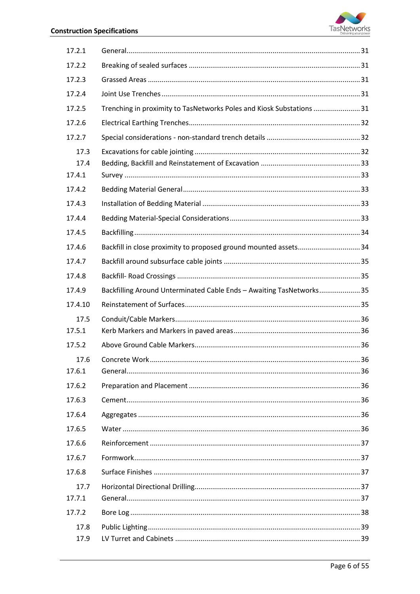

| 17.2.1  |                                                                      |      |
|---------|----------------------------------------------------------------------|------|
| 17.2.2  |                                                                      |      |
| 17.2.3  |                                                                      |      |
| 17.2.4  |                                                                      |      |
| 17.2.5  | Trenching in proximity to TasNetworks Poles and Kiosk Substations 31 |      |
| 17.2.6  |                                                                      |      |
| 17.2.7  |                                                                      |      |
| 17.3    |                                                                      |      |
| 17.4    |                                                                      |      |
| 17.4.1  |                                                                      |      |
| 17.4.2  |                                                                      |      |
| 17.4.3  |                                                                      |      |
| 17.4.4  |                                                                      |      |
| 17.4.5  |                                                                      |      |
| 17.4.6  | Backfill in close proximity to proposed ground mounted assets34      |      |
| 17.4.7  |                                                                      |      |
| 17.4.8  |                                                                      |      |
| 17.4.9  | Backfilling Around Unterminated Cable Ends - Awaiting TasNetworks35  |      |
|         |                                                                      |      |
| 17.4.10 |                                                                      |      |
| 17.5    |                                                                      |      |
| 17.5.1  |                                                                      |      |
| 17.5.2  |                                                                      |      |
| 17.6    |                                                                      | . 36 |
| 17.6.1  |                                                                      |      |
| 17.6.2  |                                                                      |      |
| 17.6.3  |                                                                      |      |
| 17.6.4  |                                                                      |      |
| 17.6.5  |                                                                      |      |
| 17.6.6  |                                                                      |      |
| 17.6.7  |                                                                      |      |
| 17.6.8  |                                                                      |      |
| 17.7    |                                                                      |      |
| 17.7.1  |                                                                      |      |
| 17.7.2  |                                                                      |      |
| 17.8    |                                                                      |      |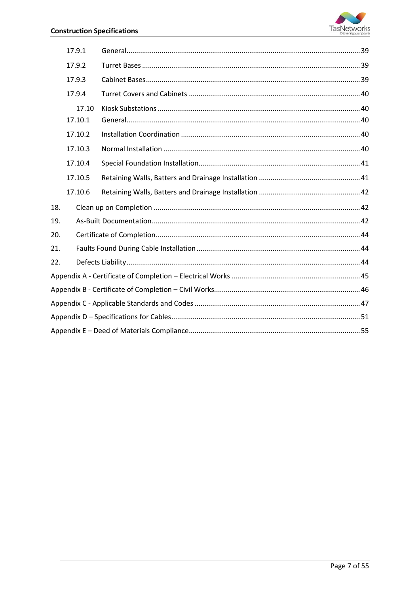

|     | 17.9.1  |  |
|-----|---------|--|
|     | 17.9.2  |  |
|     | 17.9.3  |  |
|     | 17.9.4  |  |
|     | 17.10   |  |
|     | 17.10.1 |  |
|     | 17.10.2 |  |
|     | 17.10.3 |  |
|     | 17.10.4 |  |
|     | 17.10.5 |  |
|     | 17.10.6 |  |
| 18. |         |  |
| 19. |         |  |
| 20. |         |  |
| 21. |         |  |
| 22. |         |  |
|     |         |  |
|     |         |  |
|     |         |  |
|     |         |  |
|     |         |  |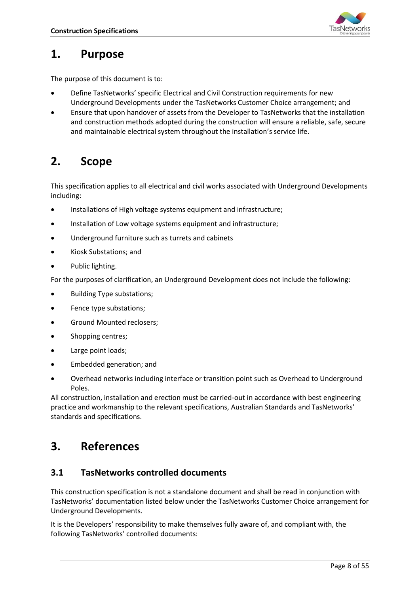

# <span id="page-7-0"></span>**1. Purpose**

The purpose of this document is to:

- Define TasNetworks' specific Electrical and Civil Construction requirements for new Underground Developments under the TasNetworks Customer Choice arrangement; and
- Ensure that upon handover of assets from the Developer to TasNetworks that the installation and construction methods adopted during the construction will ensure a reliable, safe, secure and maintainable electrical system throughout the installation's service life.

# <span id="page-7-1"></span>**2. Scope**

This specification applies to all electrical and civil works associated with Underground Developments including:

- Installations of High voltage systems equipment and infrastructure;
- Installation of Low voltage systems equipment and infrastructure;
- Underground furniture such as turrets and cabinets
- Kiosk Substations; and
- Public lighting.

For the purposes of clarification, an Underground Development does not include the following:

- Building Type substations;
- Fence type substations;
- Ground Mounted reclosers;
- Shopping centres;
- Large point loads;
- Embedded generation; and
- Overhead networks including interface or transition point such as Overhead to Underground Poles.

All construction, installation and erection must be carried-out in accordance with best engineering practice and workmanship to the relevant specifications, Australian Standards and TasNetworks' standards and specifications.

# <span id="page-7-2"></span>**3. References**

### <span id="page-7-3"></span>**3.1 TasNetworks controlled documents**

This construction specification is not a standalone document and shall be read in conjunction with TasNetworks' documentation listed below under the TasNetworks Customer Choice arrangement for Underground Developments.

It is the Developers' responsibility to make themselves fully aware of, and compliant with, the following TasNetworks' controlled documents: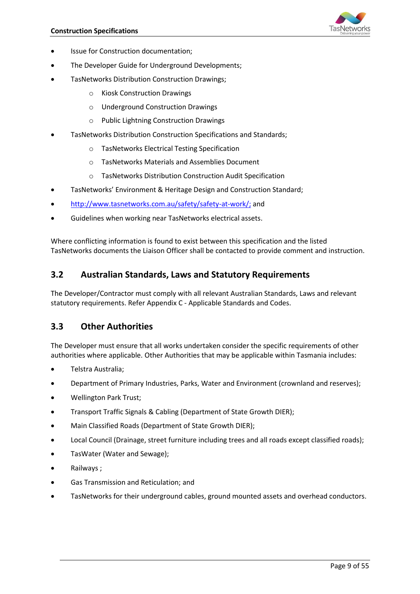

- Issue for Construction documentation;
- The Developer Guide for Underground Developments;
- TasNetworks Distribution Construction Drawings;
	- o Kiosk Construction Drawings
	- o Underground Construction Drawings
	- o Public Lightning Construction Drawings
- TasNetworks Distribution Construction Specifications and Standards;
	- o TasNetworks Electrical Testing Specification
	- o TasNetworks Materials and Assemblies Document
	- o TasNetworks Distribution Construction Audit Specification
- TasNetworks' Environment & Heritage Design and Construction Standard;
- [http://www.tasnetworks.com.au/safety/safety-at-work/;](http://www.tasnetworks.com.au/safety/safety-at-work/) and
- Guidelines when working near TasNetworks electrical assets.

Where conflicting information is found to exist between this specification and the listed TasNetworks documents the Liaison Officer shall be contacted to provide comment and instruction.

### <span id="page-8-0"></span>**3.2 Australian Standards, Laws and Statutory Requirements**

The Developer/Contractor must comply with all relevant Australian Standards, Laws and relevant statutory requirements. Refer Appendix C - Applicable [Standards and Codes.](#page-46-0)

### <span id="page-8-1"></span>**3.3 Other Authorities**

The Developer must ensure that all works undertaken consider the specific requirements of other authorities where applicable. Other Authorities that may be applicable within Tasmania includes:

- Telstra Australia;
- Department of Primary Industries, Parks, Water and Environment (crownland and reserves);
- Wellington Park Trust;
- Transport Traffic Signals & Cabling (Department of State Growth DIER);
- Main Classified Roads (Department of State Growth DIER);
- Local Council (Drainage, street furniture including trees and all roads except classified roads);
- TasWater (Water and Sewage);
- Railways ;
- Gas Transmission and Reticulation; and
- TasNetworks for their underground cables, ground mounted assets and overhead conductors.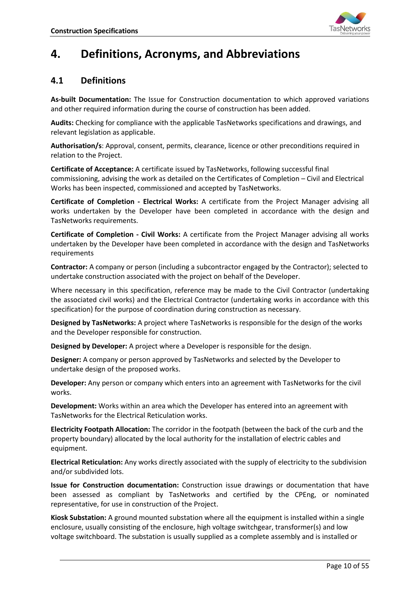

# <span id="page-9-0"></span>**4. Definitions, Acronyms, and Abbreviations**

### <span id="page-9-1"></span>**4.1 Definitions**

**As-built Documentation:** The Issue for Construction documentation to which approved variations and other required information during the course of construction has been added.

**Audits:** Checking for compliance with the applicable TasNetworks specifications and drawings, and relevant legislation as applicable.

**Authorisation/s**: Approval, consent, permits, clearance, licence or other preconditions required in relation to the Project.

**Certificate of Acceptance:** A certificate issued by TasNetworks, following successful final commissioning, advising the work as detailed on the Certificates of Completion – Civil and Electrical Works has been inspected, commissioned and accepted by TasNetworks.

**Certificate of Completion - Electrical Works:** A certificate from the Project Manager advising all works undertaken by the Developer have been completed in accordance with the design and TasNetworks requirements.

**Certificate of Completion - Civil Works:** A certificate from the Project Manager advising all works undertaken by the Developer have been completed in accordance with the design and TasNetworks requirements

**Contractor:** A company or person (including a subcontractor engaged by the Contractor); selected to undertake construction associated with the project on behalf of the Developer.

Where necessary in this specification, reference may be made to the Civil Contractor (undertaking the associated civil works) and the Electrical Contractor (undertaking works in accordance with this specification) for the purpose of coordination during construction as necessary.

**Designed by TasNetworks:** A project where TasNetworks is responsible for the design of the works and the Developer responsible for construction.

**Designed by Developer:** A project where a Developer is responsible for the design.

**Designer:** A company or person approved by TasNetworks and selected by the Developer to undertake design of the proposed works.

**Developer:** Any person or company which enters into an agreement with TasNetworks for the civil works.

**Development:** Works within an area which the Developer has entered into an agreement with TasNetworks for the Electrical Reticulation works.

**Electricity Footpath Allocation:** The corridor in the footpath (between the back of the curb and the property boundary) allocated by the local authority for the installation of electric cables and equipment.

**Electrical Reticulation:** Any works directly associated with the supply of electricity to the subdivision and/or subdivided lots.

**Issue for Construction documentation:** Construction issue drawings or documentation that have been assessed as compliant by TasNetworks and certified by the CPEng, or nominated representative, for use in construction of the Project.

**Kiosk Substation:** A ground mounted substation where all the equipment is installed within a single enclosure, usually consisting of the enclosure, high voltage switchgear, transformer(s) and low voltage switchboard. The substation is usually supplied as a complete assembly and is installed or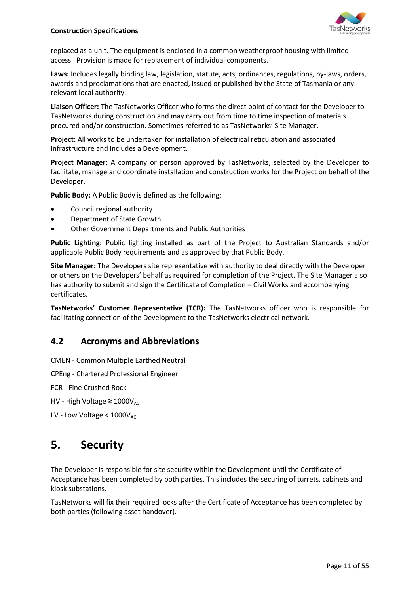

replaced as a unit. The equipment is enclosed in a common weatherproof housing with limited access. Provision is made for replacement of individual components.

**Laws:** Includes legally binding law, legislation, statute, acts, ordinances, regulations, by-laws, orders, awards and proclamations that are enacted, issued or published by the State of Tasmania or any relevant local authority.

**Liaison Officer:** The TasNetworks Officer who forms the direct point of contact for the Developer to TasNetworks during construction and may carry out from time to time inspection of materials procured and/or construction. Sometimes referred to as TasNetworks' Site Manager.

**Project:** All works to be undertaken for installation of electrical reticulation and associated infrastructure and includes a Development.

**Project Manager:** A company or person approved by TasNetworks, selected by the Developer to facilitate, manage and coordinate installation and construction works for the Project on behalf of the Developer.

**Public Body:** A Public Body is defined as the following;

- Council regional authority
- Department of State Growth
- Other Government Departments and Public Authorities

**Public Lighting:** Public lighting installed as part of the Project to Australian Standards and/or applicable Public Body requirements and as approved by that Public Body.

**Site Manager:** The Developers site representative with authority to deal directly with the Developer or others on the Developers' behalf as required for completion of the Project. The Site Manager also has authority to submit and sign the Certificate of Completion – Civil Works and accompanying certificates.

**TasNetworks' Customer Representative (TCR):** The TasNetworks officer who is responsible for facilitating connection of the Development to the TasNetworks electrical network.

### <span id="page-10-0"></span>**4.2 Acronyms and Abbreviations**

CMEN - Common Multiple Earthed Neutral

CPEng - Chartered Professional Engineer

FCR - Fine Crushed Rock

HV - High Voltage  $\geq 1000V_{AC}$ 

<span id="page-10-1"></span>LV - Low Voltage  $< 1000V_{AC}$ 

# **5. Security**

The Developer is responsible for site security within the Development until the Certificate of Acceptance has been completed by both parties. This includes the securing of turrets, cabinets and kiosk substations.

TasNetworks will fix their required locks after the Certificate of Acceptance has been completed by both parties (following asset handover).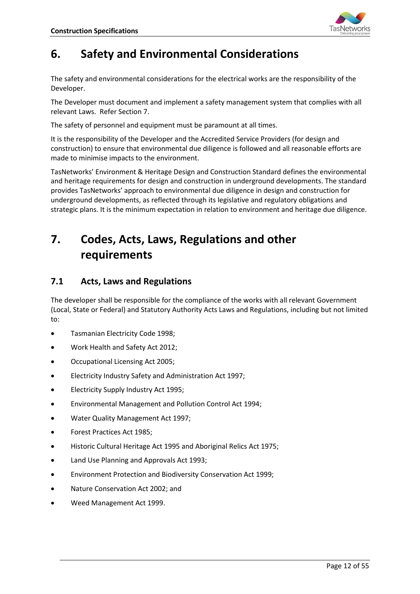

# <span id="page-11-0"></span>**6. Safety and Environmental Considerations**

The safety and environmental considerations for the electrical works are the responsibility of the Developer.

The Developer must document and implement a safety management system that complies with all relevant Laws. Refer Section [7.](#page-11-1)

The safety of personnel and equipment must be paramount at all times.

It is the responsibility of the Developer and the Accredited Service Providers (for design and construction) to ensure that environmental due diligence is followed and all reasonable efforts are made to minimise impacts to the environment.

TasNetworks' Environment & Heritage Design and Construction Standard defines the environmental and heritage requirements for design and construction in underground developments. The standard provides TasNetworks' approach to environmental due diligence in design and construction for underground developments, as reflected through its legislative and regulatory obligations and strategic plans. It is the minimum expectation in relation to environment and heritage due diligence.

# <span id="page-11-1"></span>**7. Codes, Acts, Laws, Regulations and other requirements**

### <span id="page-11-2"></span>**7.1 Acts, Laws and Regulations**

The developer shall be responsible for the compliance of the works with all relevant Government (Local, State or Federal) and Statutory Authority Acts Laws and Regulations, including but not limited to:

- Tasmanian Electricity Code 1998;
- Work Health and Safety Act 2012;
- Occupational Licensing Act 2005;
- Electricity Industry Safety and Administration Act 1997;
- Electricity Supply Industry Act 1995;
- Environmental Management and Pollution Control Act 1994;
- Water Quality Management Act 1997;
- Forest Practices Act 1985;
- Historic Cultural Heritage Act 1995 and Aboriginal Relics Act 1975;
- Land Use Planning and Approvals Act 1993;
- Environment Protection and Biodiversity Conservation Act 1999;
- Nature Conservation Act 2002; and
- Weed Management Act 1999.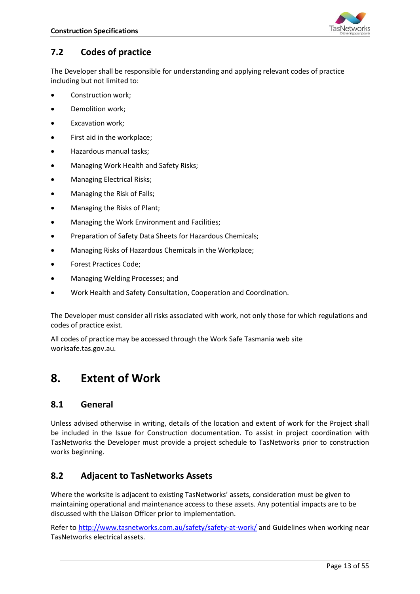

### <span id="page-12-0"></span>**7.2 Codes of practice**

The Developer shall be responsible for understanding and applying relevant codes of practice including but not limited to:

- Construction work;
- Demolition work;
- Excavation work;
- First aid in the workplace;
- Hazardous manual tasks;
- Managing Work Health and Safety Risks;
- Managing Electrical Risks;
- Managing the Risk of Falls;
- Managing the Risks of Plant;
- Managing the Work Environment and Facilities;
- Preparation of Safety Data Sheets for Hazardous Chemicals;
- Managing Risks of Hazardous Chemicals in the Workplace;
- Forest Practices Code;
- Managing Welding Processes; and
- Work Health and Safety Consultation, Cooperation and Coordination.

The Developer must consider all risks associated with work, not only those for which regulations and codes of practice exist.

All codes of practice may be accessed through the Work Safe Tasmania web site worksafe.tas.gov.au.

# <span id="page-12-1"></span>**8. Extent of Work**

#### <span id="page-12-2"></span>**8.1 General**

Unless advised otherwise in writing, details of the location and extent of work for the Project shall be included in the Issue for Construction documentation. To assist in project coordination with TasNetworks the Developer must provide a project schedule to TasNetworks prior to construction works beginning.

### <span id="page-12-3"></span>**8.2 Adjacent to TasNetworks Assets**

Where the worksite is adjacent to existing TasNetworks' assets, consideration must be given to maintaining operational and maintenance access to these assets. Any potential impacts are to be discussed with the Liaison Officer prior to implementation.

Refer to<http://www.tasnetworks.com.au/safety/safety-at-work/> and Guidelines when working near TasNetworks electrical assets.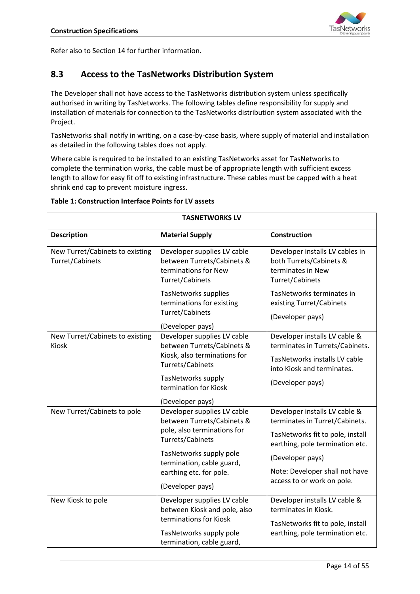

Refer also to Sectio[n 14](#page-18-1) for further information.

### <span id="page-13-0"></span>**8.3 Access to the TasNetworks Distribution System**

The Developer shall not have access to the TasNetworks distribution system unless specifically authorised in writing by TasNetworks. The following tables define responsibility for supply and installation of materials for connection to the TasNetworks distribution system associated with the Project.

TasNetworks shall notify in writing, on a case-by-case basis, where supply of material and installation as detailed in the following tables does not apply.

Where cable is required to be installed to an existing TasNetworks asset for TasNetworks to complete the termination works, the cable must be of appropriate length with sufficient excess length to allow for easy fit off to existing infrastructure. These cables must be capped with a heat shrink end cap to prevent moisture ingress.

| <b>TASNETWORKS LV</b>                              |                                                                                                                                                                                                                     |                                                                                                                                                                                                                            |
|----------------------------------------------------|---------------------------------------------------------------------------------------------------------------------------------------------------------------------------------------------------------------------|----------------------------------------------------------------------------------------------------------------------------------------------------------------------------------------------------------------------------|
| <b>Description</b>                                 | <b>Material Supply</b>                                                                                                                                                                                              | <b>Construction</b>                                                                                                                                                                                                        |
| New Turret/Cabinets to existing<br>Turret/Cabinets | Developer supplies LV cable<br>between Turrets/Cabinets &<br>terminations for New<br>Turret/Cabinets                                                                                                                | Developer installs LV cables in<br>both Turrets/Cabinets &<br>terminates in New<br>Turret/Cabinets                                                                                                                         |
|                                                    | TasNetworks supplies<br>terminations for existing<br>Turret/Cabinets<br>(Developer pays)                                                                                                                            | TasNetworks terminates in<br>existing Turret/Cabinets<br>(Developer pays)                                                                                                                                                  |
| New Turret/Cabinets to existing<br>Kiosk           | Developer supplies LV cable<br>between Turrets/Cabinets &<br>Kiosk, also terminations for<br>Turrets/Cabinets<br>TasNetworks supply<br>termination for Kiosk<br>(Developer pays)                                    | Developer installs LV cable &<br>terminates in Turrets/Cabinets.<br>TasNetworks installs LV cable<br>into Kiosk and terminates.<br>(Developer pays)                                                                        |
| New Turret/Cabinets to pole                        | Developer supplies LV cable<br>between Turrets/Cabinets &<br>pole, also terminations for<br>Turrets/Cabinets<br>TasNetworks supply pole<br>termination, cable guard,<br>earthing etc. for pole.<br>(Developer pays) | Developer installs LV cable &<br>terminates in Turret/Cabinets.<br>TasNetworks fit to pole, install<br>earthing, pole termination etc.<br>(Developer pays)<br>Note: Developer shall not have<br>access to or work on pole. |
| New Kiosk to pole                                  | Developer supplies LV cable<br>between Kiosk and pole, also<br>terminations for Kiosk<br>TasNetworks supply pole<br>termination, cable guard,                                                                       | Developer installs LV cable &<br>terminates in Kiosk.<br>TasNetworks fit to pole, install<br>earthing, pole termination etc.                                                                                               |

#### **Table 1: Construction Interface Points for LV assets**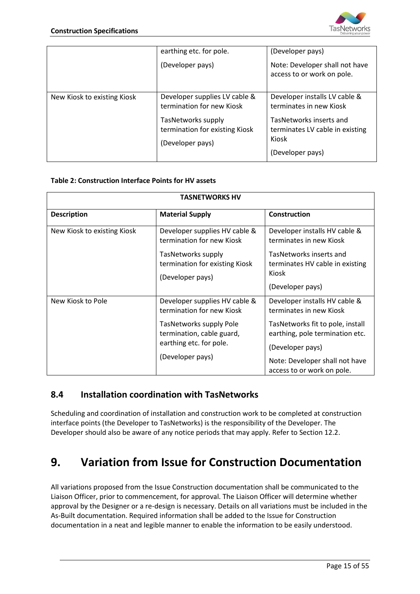

|                             | earthing etc. for pole.                                    | (Developer pays)                                             |
|-----------------------------|------------------------------------------------------------|--------------------------------------------------------------|
|                             | (Developer pays)                                           | Note: Developer shall not have<br>access to or work on pole. |
| New Kiosk to existing Kiosk | Developer supplies LV cable &<br>termination for new Kiosk | Developer installs LV cable &<br>terminates in new Kiosk     |
|                             | TasNetworks supply<br>termination for existing Kiosk       | TasNetworks inserts and<br>terminates LV cable in existing   |
|                             | (Developer pays)                                           | Kiosk                                                        |
|                             |                                                            | (Developer pays)                                             |

#### **Table 2: Construction Interface Points for HV assets**

| <b>TASNETWORKS HV</b>       |                                                                                                                                                                   |                                                                                                                                                                                                                     |
|-----------------------------|-------------------------------------------------------------------------------------------------------------------------------------------------------------------|---------------------------------------------------------------------------------------------------------------------------------------------------------------------------------------------------------------------|
| <b>Description</b>          | <b>Material Supply</b>                                                                                                                                            | <b>Construction</b>                                                                                                                                                                                                 |
| New Kiosk to existing Kiosk | Developer supplies HV cable &<br>termination for new Kiosk<br>TasNetworks supply<br>termination for existing Kiosk<br>(Developer pays)                            | Developer installs HV cable &<br>terminates in new Kiosk<br>TasNetworks inserts and<br>terminates HV cable in existing<br>Kiosk<br>(Developer pays)                                                                 |
| New Kiosk to Pole           | Developer supplies HV cable &<br>termination for new Kiosk<br>TasNetworks supply Pole<br>termination, cable guard,<br>earthing etc. for pole.<br>(Developer pays) | Developer installs HV cable &<br>terminates in new Kiosk<br>TasNetworks fit to pole, install<br>earthing, pole termination etc.<br>(Developer pays)<br>Note: Developer shall not have<br>access to or work on pole. |

#### <span id="page-14-0"></span>**8.4 Installation coordination with TasNetworks**

Scheduling and coordination of installation and construction work to be completed at construction interface points (the Developer to TasNetworks) is the responsibility of the Developer. The Developer should also be aware of any notice periods that may apply. Refer to Section [12.2.](#page-16-0)

# <span id="page-14-1"></span>**9. Variation from Issue for Construction Documentation**

All variations proposed from the Issue Construction documentation shall be communicated to the Liaison Officer, prior to commencement, for approval. The Liaison Officer will determine whether approval by the Designer or a re-design is necessary. Details on all variations must be included in the As-Built documentation. Required information shall be added to the Issue for Construction documentation in a neat and legible manner to enable the information to be easily understood.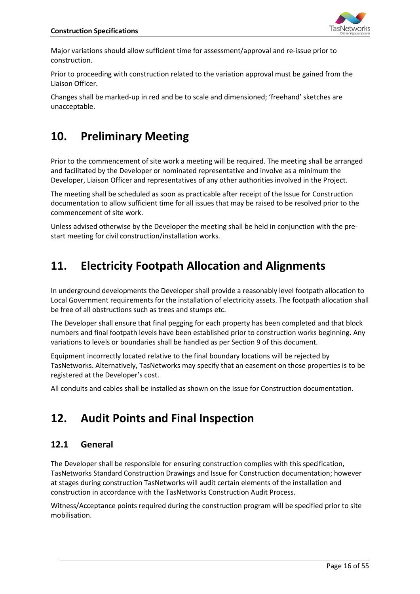

Major variations should allow sufficient time for assessment/approval and re-issue prior to construction.

Prior to proceeding with construction related to the variation approval must be gained from the Liaison Officer.

Changes shall be marked-up in red and be to scale and dimensioned; 'freehand' sketches are unacceptable.

# <span id="page-15-0"></span>**10. Preliminary Meeting**

Prior to the commencement of site work a meeting will be required. The meeting shall be arranged and facilitated by the Developer or nominated representative and involve as a minimum the Developer, Liaison Officer and representatives of any other authorities involved in the Project.

The meeting shall be scheduled as soon as practicable after receipt of the Issue for Construction documentation to allow sufficient time for all issues that may be raised to be resolved prior to the commencement of site work.

Unless advised otherwise by the Developer the meeting shall be held in conjunction with the prestart meeting for civil construction/installation works.

# <span id="page-15-1"></span>**11. Electricity Footpath Allocation and Alignments**

In underground developments the Developer shall provide a reasonably level footpath allocation to Local Government requirements for the installation of electricity assets. The footpath allocation shall be free of all obstructions such as trees and stumps etc.

The Developer shall ensure that final pegging for each property has been completed and that block numbers and final footpath levels have been established prior to construction works beginning. Any variations to levels or boundaries shall be handled as per Sectio[n 9](#page-14-1) of this document.

Equipment incorrectly located relative to the final boundary locations will be rejected by TasNetworks. Alternatively, TasNetworks may specify that an easement on those properties is to be registered at the Developer's cost.

<span id="page-15-2"></span>All conduits and cables shall be installed as shown on the Issue for Construction documentation.

# **12. Audit Points and Final Inspection**

### <span id="page-15-3"></span>**12.1 General**

The Developer shall be responsible for ensuring construction complies with this specification, TasNetworks Standard Construction Drawings and Issue for Construction documentation; however at stages during construction TasNetworks will audit certain elements of the installation and construction in accordance with the TasNetworks Construction Audit Process.

Witness/Acceptance points required during the construction program will be specified prior to site mobilisation.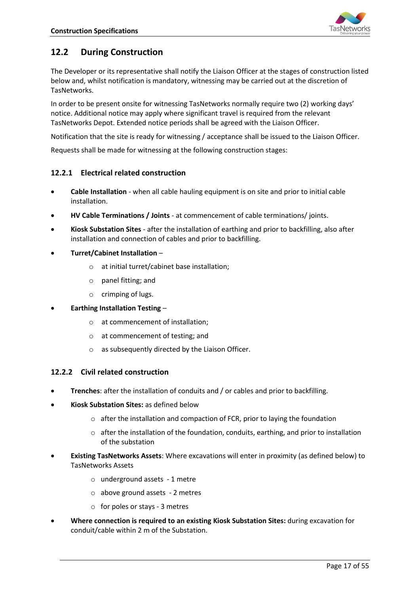

# <span id="page-16-0"></span>**12.2 During Construction**

The Developer or its representative shall notify the Liaison Officer at the stages of construction listed below and, whilst notification is mandatory, witnessing may be carried out at the discretion of TasNetworks.

In order to be present onsite for witnessing TasNetworks normally require two (2) working days' notice. Additional notice may apply where significant travel is required from the relevant TasNetworks Depot. Extended notice periods shall be agreed with the Liaison Officer.

Notification that the site is ready for witnessing / acceptance shall be issued to the Liaison Officer.

Requests shall be made for witnessing at the following construction stages:

#### <span id="page-16-1"></span>**12.2.1 Electrical related construction**

- **Cable Installation**  when all cable hauling equipment is on site and prior to initial cable installation.
- **HV Cable Terminations / Joints**  at commencement of cable terminations/ joints.
- **Kiosk Substation Sites**  after the installation of earthing and prior to backfilling, also after installation and connection of cables and prior to backfilling.
- **Turret/Cabinet Installation** 
	- o at initial turret/cabinet base installation;
	- o panel fitting; and
	- o crimping of lugs.
- **Earthing Installation Testing** 
	- o at commencement of installation;
	- o at commencement of testing; and
	- o as subsequently directed by the Liaison Officer.

#### <span id="page-16-2"></span>**12.2.2 Civil related construction**

- **Trenches**: after the installation of conduits and / or cables and prior to backfilling.
- **Kiosk Substation Sites:** as defined below
	- o after the installation and compaction of FCR, prior to laying the foundation
	- $\circ$  after the installation of the foundation, conduits, earthing, and prior to installation of the substation
- **Existing TasNetworks Assets**: Where excavations will enter in proximity (as defined below) to TasNetworks Assets
	- o underground assets 1 metre
	- o above ground assets 2 metres
	- o for poles or stays 3 metres
- **Where connection is required to an existing Kiosk Substation Sites:** during excavation for conduit/cable within 2 m of the Substation.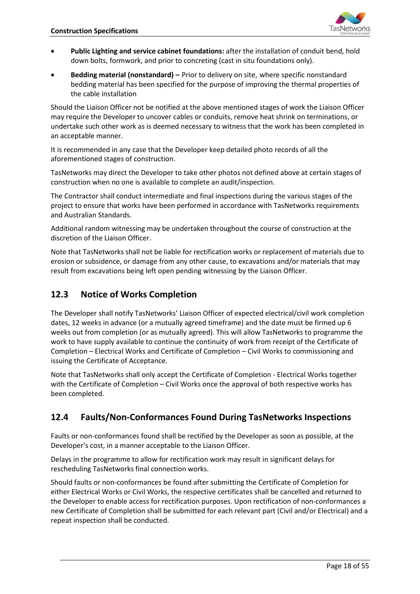

- **Public Lighting and service cabinet foundations:** after the installation of conduit bend, hold down bolts, formwork, and prior to concreting (cast in situ foundations only).
- **Bedding material (nonstandard) –** Prior to delivery on site, where specific nonstandard bedding material has been specified for the purpose of improving the thermal properties of the cable installation

Should the Liaison Officer not be notified at the above mentioned stages of work the Liaison Officer may require the Developer to uncover cables or conduits, remove heat shrink on terminations, or undertake such other work as is deemed necessary to witness that the work has been completed in an acceptable manner.

It is recommended in any case that the Developer keep detailed photo records of all the aforementioned stages of construction.

TasNetworks may direct the Developer to take other photos not defined above at certain stages of construction when no one is available to complete an audit/inspection.

The Contractor shall conduct intermediate and final inspections during the various stages of the project to ensure that works have been performed in accordance with TasNetworks requirements and Australian Standards.

Additional random witnessing may be undertaken throughout the course of construction at the discretion of the Liaison Officer.

Note that TasNetworks shall not be liable for rectification works or replacement of materials due to erosion or subsidence, or damage from any other cause, to excavations and/or materials that may result from excavations being left open pending witnessing by the Liaison Officer.

### <span id="page-17-0"></span>**12.3 Notice of Works Completion**

The Developer shall notify TasNetworks' Liaison Officer of expected electrical/civil work completion dates, 12 weeks in advance (or a mutually agreed timeframe) and the date must be firmed up 6 weeks out from completion (or as mutually agreed). This will allow TasNetworks to programme the work to have supply available to continue the continuity of work from receipt of the Certificate of Completion – Electrical Works and Certificate of Completion – Civil Works to commissioning and issuing the Certificate of Acceptance.

Note that TasNetworks shall only accept the Certificate of Completion - Electrical Works together with the Certificate of Completion – Civil Works once the approval of both respective works has been completed.

### <span id="page-17-1"></span>**12.4 Faults/Non-Conformances Found During TasNetworks Inspections**

Faults or non-conformances found shall be rectified by the Developer as soon as possible, at the Developer's cost, in a manner acceptable to the Liaison Officer.

Delays in the programme to allow for rectification work may result in significant delays for rescheduling TasNetworks final connection works.

Should faults or non-conformances be found after submitting the Certificate of Completion for either Electrical Works or Civil Works, the respective certificates shall be cancelled and returned to the Developer to enable access for rectification purposes. Upon rectification of non-conformances a new Certificate of Completion shall be submitted for each relevant part (Civil and/or Electrical) and a repeat inspection shall be conducted.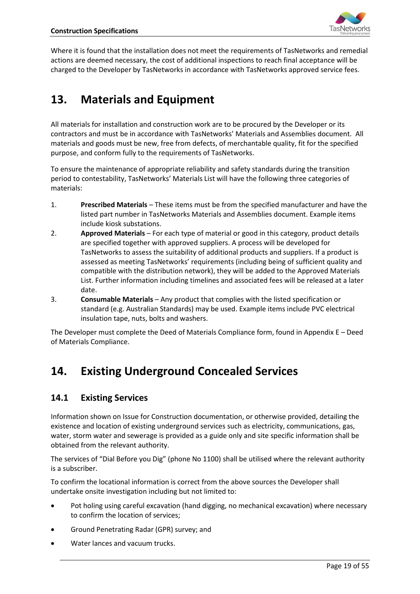

Where it is found that the installation does not meet the requirements of TasNetworks and remedial actions are deemed necessary, the cost of additional inspections to reach final acceptance will be charged to the Developer by TasNetworks in accordance with TasNetworks approved service fees.

# <span id="page-18-0"></span>**13. Materials and Equipment**

All materials for installation and construction work are to be procured by the Developer or its contractors and must be in accordance with TasNetworks' Materials and Assemblies document. All materials and goods must be new, free from defects, of merchantable quality, fit for the specified purpose, and conform fully to the requirements of TasNetworks.

To ensure the maintenance of appropriate reliability and safety standards during the transition period to contestability, TasNetworks' Materials List will have the following three categories of materials:

- 1. **Prescribed Materials** These items must be from the specified manufacturer and have the listed part number in TasNetworks Materials and Assemblies document. Example items include kiosk substations.
- 2. **Approved Materials** For each type of material or good in this category, product details are specified together with approved suppliers. A process will be developed for TasNetworks to assess the suitability of additional products and suppliers. If a product is assessed as meeting TasNetworks' requirements (including being of sufficient quality and compatible with the distribution network), they will be added to the Approved Materials List. Further information including timelines and associated fees will be released at a later date.
- 3. **Consumable Materials**  Any product that complies with the listed specification or standard (e.g. Australian Standards) may be used. Example items include PVC electrical insulation tape, nuts, bolts and washers.

The Developer must complete the Deed of Materials Compliance form, found in [Appendix E](#page-54-0) – Deed [of Materials Compliance.](#page-54-0)

# <span id="page-18-1"></span>**14. Existing Underground Concealed Services**

### <span id="page-18-2"></span>**14.1 Existing Services**

Information shown on Issue for Construction documentation, or otherwise provided, detailing the existence and location of existing underground services such as electricity, communications, gas, water, storm water and sewerage is provided as a guide only and site specific information shall be obtained from the relevant authority.

The services of "Dial Before you Dig" (phone No 1100) shall be utilised where the relevant authority is a subscriber.

To confirm the locational information is correct from the above sources the Developer shall undertake onsite investigation including but not limited to:

- Pot holing using careful excavation (hand digging, no mechanical excavation) where necessary to confirm the location of services;
- Ground Penetrating Radar (GPR) survey; and
- Water lances and vacuum trucks.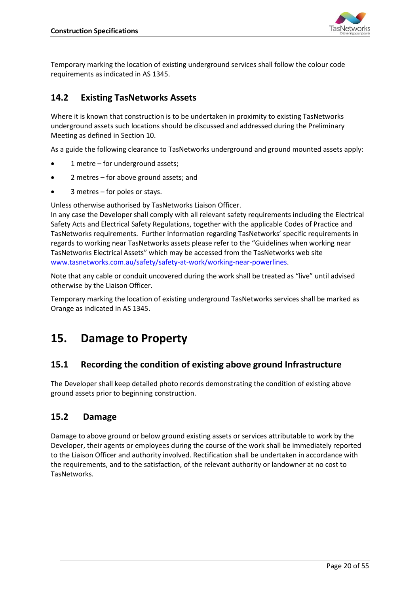

Temporary marking the location of existing underground services shall follow the colour code requirements as indicated in AS 1345.

### <span id="page-19-0"></span>**14.2 Existing TasNetworks Assets**

Where it is known that construction is to be undertaken in proximity to existing TasNetworks underground assets such locations should be discussed and addressed during the Preliminary Meeting as defined in Section [10.](#page-15-0)

As a guide the following clearance to TasNetworks underground and ground mounted assets apply:

- 1 metre for underground assets;
- 2 metres for above ground assets; and
- 3 metres for poles or stays.

Unless otherwise authorised by TasNetworks Liaison Officer.

In any case the Developer shall comply with all relevant safety requirements including the Electrical Safety Acts and Electrical Safety Regulations, together with the applicable Codes of Practice and TasNetworks requirements. Further information regarding TasNetworks' specific requirements in regards to working near TasNetworks assets please refer to the "Guidelines when working near TasNetworks Electrical Assets" which may be accessed from the TasNetworks web site [www.tasnetworks.com.au/safety/safety-at-work/working-near-powerlines.](http://www.tasnetworks.com.au/safety/safety-at-work/working-near-powerlines)

Note that any cable or conduit uncovered during the work shall be treated as "live" until advised otherwise by the Liaison Officer.

Temporary marking the location of existing underground TasNetworks services shall be marked as Orange as indicated in AS 1345.

# <span id="page-19-1"></span>**15. Damage to Property**

### <span id="page-19-2"></span>**15.1 Recording the condition of existing above ground Infrastructure**

The Developer shall keep detailed photo records demonstrating the condition of existing above ground assets prior to beginning construction.

#### <span id="page-19-3"></span>**15.2 Damage**

Damage to above ground or below ground existing assets or services attributable to work by the Developer, their agents or employees during the course of the work shall be immediately reported to the Liaison Officer and authority involved. Rectification shall be undertaken in accordance with the requirements, and to the satisfaction, of the relevant authority or landowner at no cost to TasNetworks.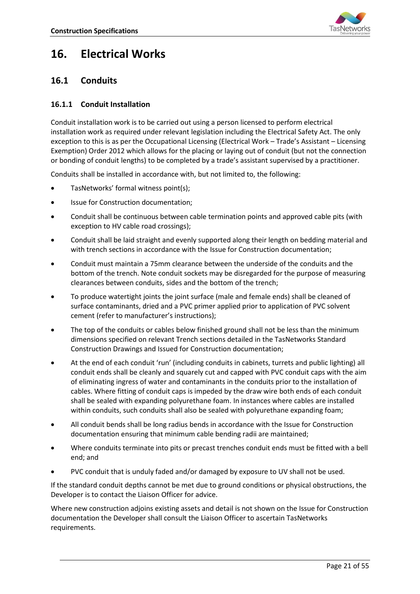

# <span id="page-20-0"></span>**16. Electrical Works**

### <span id="page-20-1"></span>**16.1 Conduits**

#### <span id="page-20-2"></span>**16.1.1 Conduit Installation**

Conduit installation work is to be carried out using a person licensed to perform electrical installation work as required under relevant legislation including the Electrical Safety Act. The only exception to this is as per the Occupational Licensing (Electrical Work – Trade's Assistant – Licensing Exemption) Order 2012 which allows for the placing or laying out of conduit (but not the connection or bonding of conduit lengths) to be completed by a trade's assistant supervised by a practitioner.

Conduits shall be installed in accordance with, but not limited to, the following:

- TasNetworks' formal witness point(s);
- Issue for Construction documentation;
- Conduit shall be continuous between cable termination points and approved cable pits (with exception to HV cable road crossings);
- Conduit shall be laid straight and evenly supported along their length on bedding material and with trench sections in accordance with the Issue for Construction documentation;
- Conduit must maintain a 75mm clearance between the underside of the conduits and the bottom of the trench. Note conduit sockets may be disregarded for the purpose of measuring clearances between conduits, sides and the bottom of the trench;
- To produce watertight joints the joint surface (male and female ends) shall be cleaned of surface contaminants, dried and a PVC primer applied prior to application of PVC solvent cement (refer to manufacturer's instructions);
- The top of the conduits or cables below finished ground shall not be less than the minimum dimensions specified on relevant Trench sections detailed in the TasNetworks Standard Construction Drawings and Issued for Construction documentation;
- At the end of each conduit 'run' (including conduits in cabinets, turrets and public lighting) all conduit ends shall be cleanly and squarely cut and capped with PVC conduit caps with the aim of eliminating ingress of water and contaminants in the conduits prior to the installation of cables. Where fitting of conduit caps is impeded by the draw wire both ends of each conduit shall be sealed with expanding polyurethane foam. In instances where cables are installed within conduits, such conduits shall also be sealed with polyurethane expanding foam;
- All conduit bends shall be long radius bends in accordance with the Issue for Construction documentation ensuring that minimum cable bending radii are maintained;
- Where conduits terminate into pits or precast trenches conduit ends must be fitted with a bell end; and
- PVC conduit that is unduly faded and/or damaged by exposure to UV shall not be used.

If the standard conduit depths cannot be met due to ground conditions or physical obstructions, the Developer is to contact the Liaison Officer for advice.

Where new construction adjoins existing assets and detail is not shown on the Issue for Construction documentation the Developer shall consult the Liaison Officer to ascertain TasNetworks requirements.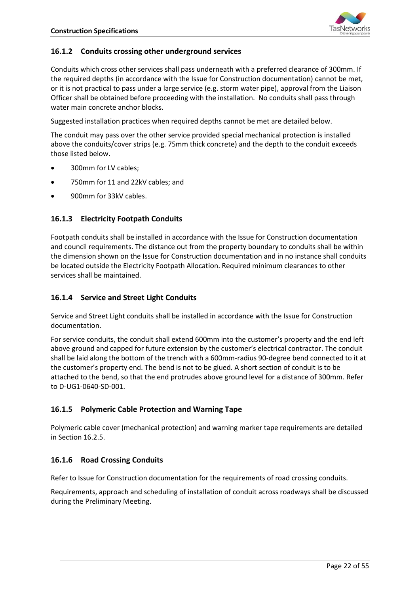

#### <span id="page-21-0"></span>**16.1.2 Conduits crossing other underground services**

Conduits which cross other services shall pass underneath with a preferred clearance of 300mm. If the required depths (in accordance with the Issue for Construction documentation) cannot be met, or it is not practical to pass under a large service (e.g. storm water pipe), approval from the Liaison Officer shall be obtained before proceeding with the installation. No conduits shall pass through water main concrete anchor blocks.

Suggested installation practices when required depths cannot be met are detailed below.

The conduit may pass over the other service provided special mechanical protection is installed above the conduits/cover strips (e.g. 75mm thick concrete) and the depth to the conduit exceeds those listed below.

- 300mm for LV cables;
- 750mm for 11 and 22kV cables; and
- <span id="page-21-1"></span>900mm for 33kV cables.

#### **16.1.3 Electricity Footpath Conduits**

Footpath conduits shall be installed in accordance with the Issue for Construction documentation and council requirements. The distance out from the property boundary to conduits shall be within the dimension shown on the Issue for Construction documentation and in no instance shall conduits be located outside the Electricity Footpath Allocation. Required minimum clearances to other services shall be maintained.

#### <span id="page-21-2"></span>**16.1.4 Service and Street Light Conduits**

Service and Street Light conduits shall be installed in accordance with the Issue for Construction documentation.

For service conduits, the conduit shall extend 600mm into the customer's property and the end left above ground and capped for future extension by the customer's electrical contractor. The conduit shall be laid along the bottom of the trench with a 600mm-radius 90-degree bend connected to it at the customer's property end. The bend is not to be glued. A short section of conduit is to be attached to the bend, so that the end protrudes above ground level for a distance of 300mm. Refer to D-UG1-0640-SD-001.

#### <span id="page-21-3"></span>**16.1.5 Polymeric Cable Protection and Warning Tape**

Polymeric cable cover (mechanical protection) and warning marker tape requirements are detailed in Section [16.2.5.](#page-24-1)

#### <span id="page-21-4"></span>**16.1.6 Road Crossing Conduits**

Refer to Issue for Construction documentation for the requirements of road crossing conduits.

Requirements, approach and scheduling of installation of conduit across roadways shall be discussed during the Preliminary Meeting.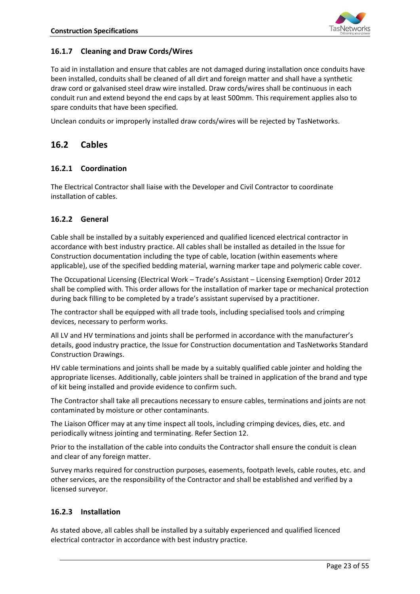

#### <span id="page-22-0"></span>**16.1.7 Cleaning and Draw Cords/Wires**

To aid in installation and ensure that cables are not damaged during installation once conduits have been installed, conduits shall be cleaned of all dirt and foreign matter and shall have a synthetic draw cord or galvanised steel draw wire installed. Draw cords/wires shall be continuous in each conduit run and extend beyond the end caps by at least 500mm. This requirement applies also to spare conduits that have been specified.

Unclean conduits or improperly installed draw cords/wires will be rejected by TasNetworks.

### <span id="page-22-1"></span>**16.2 Cables**

#### <span id="page-22-2"></span>**16.2.1 Coordination**

The Electrical Contractor shall liaise with the Developer and Civil Contractor to coordinate installation of cables.

#### <span id="page-22-3"></span>**16.2.2 General**

Cable shall be installed by a suitably experienced and qualified licenced electrical contractor in accordance with best industry practice. All cables shall be installed as detailed in the Issue for Construction documentation including the type of cable, location (within easements where applicable), use of the specified bedding material, warning marker tape and polymeric cable cover.

The Occupational Licensing (Electrical Work – Trade's Assistant – Licensing Exemption) Order 2012 shall be complied with. This order allows for the installation of marker tape or mechanical protection during back filling to be completed by a trade's assistant supervised by a practitioner.

The contractor shall be equipped with all trade tools, including specialised tools and crimping devices, necessary to perform works.

All LV and HV terminations and joints shall be performed in accordance with the manufacturer's details, good industry practice, the Issue for Construction documentation and TasNetworks Standard Construction Drawings.

HV cable terminations and joints shall be made by a suitably qualified cable jointer and holding the appropriate licenses. Additionally, cable jointers shall be trained in application of the brand and type of kit being installed and provide evidence to confirm such.

The Contractor shall take all precautions necessary to ensure cables, terminations and joints are not contaminated by moisture or other contaminants.

The Liaison Officer may at any time inspect all tools, including crimping devices, dies, etc. and periodically witness jointing and terminating. Refer Section [12.](#page-15-2)

Prior to the installation of the cable into conduits the Contractor shall ensure the conduit is clean and clear of any foreign matter.

Survey marks required for construction purposes, easements, footpath levels, cable routes, etc. and other services, are the responsibility of the Contractor and shall be established and verified by a licensed surveyor.

#### <span id="page-22-4"></span>**16.2.3 Installation**

As stated above, all cables shall be installed by a suitably experienced and qualified licenced electrical contractor in accordance with best industry practice.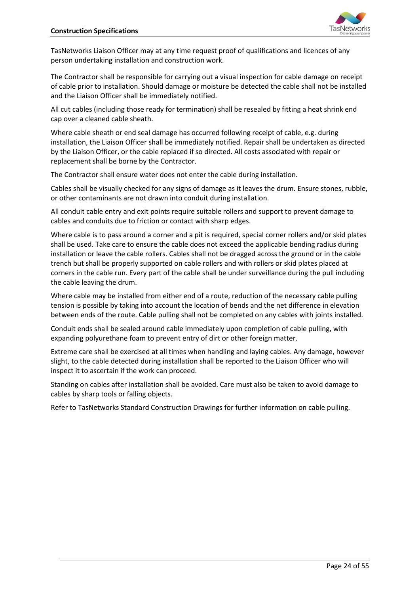

TasNetworks Liaison Officer may at any time request proof of qualifications and licences of any person undertaking installation and construction work.

The Contractor shall be responsible for carrying out a visual inspection for cable damage on receipt of cable prior to installation. Should damage or moisture be detected the cable shall not be installed and the Liaison Officer shall be immediately notified.

All cut cables (including those ready for termination) shall be resealed by fitting a heat shrink end cap over a cleaned cable sheath.

Where cable sheath or end seal damage has occurred following receipt of cable, e.g. during installation, the Liaison Officer shall be immediately notified. Repair shall be undertaken as directed by the Liaison Officer, or the cable replaced if so directed. All costs associated with repair or replacement shall be borne by the Contractor.

The Contractor shall ensure water does not enter the cable during installation.

Cables shall be visually checked for any signs of damage as it leaves the drum. Ensure stones, rubble, or other contaminants are not drawn into conduit during installation.

All conduit cable entry and exit points require suitable rollers and support to prevent damage to cables and conduits due to friction or contact with sharp edges.

Where cable is to pass around a corner and a pit is required, special corner rollers and/or skid plates shall be used. Take care to ensure the cable does not exceed the applicable bending radius during installation or leave the cable rollers. Cables shall not be dragged across the ground or in the cable trench but shall be properly supported on cable rollers and with rollers or skid plates placed at corners in the cable run. Every part of the cable shall be under surveillance during the pull including the cable leaving the drum.

Where cable may be installed from either end of a route, reduction of the necessary cable pulling tension is possible by taking into account the location of bends and the net difference in elevation between ends of the route. Cable pulling shall not be completed on any cables with joints installed.

Conduit ends shall be sealed around cable immediately upon completion of cable pulling, with expanding polyurethane foam to prevent entry of dirt or other foreign matter.

Extreme care shall be exercised at all times when handling and laying cables. Any damage, however slight, to the cable detected during installation shall be reported to the Liaison Officer who will inspect it to ascertain if the work can proceed.

Standing on cables after installation shall be avoided. Care must also be taken to avoid damage to cables by sharp tools or falling objects.

Refer to TasNetworks Standard Construction Drawings for further information on cable pulling.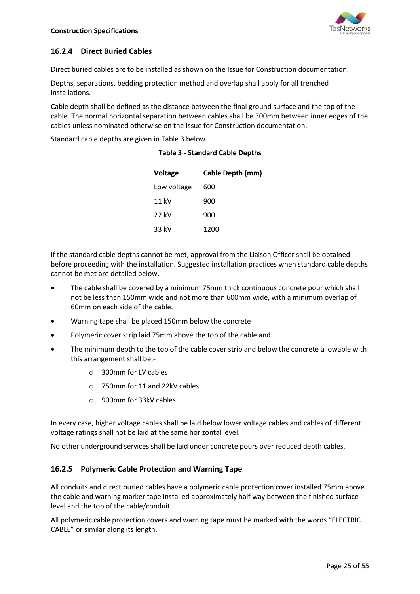

#### <span id="page-24-0"></span>**16.2.4 Direct Buried Cables**

Direct buried cables are to be installed as shown on the Issue for Construction documentation.

Depths, separations, bedding protection method and overlap shall apply for all trenched installations.

Cable depth shall be defined as the distance between the final ground surface and the top of the cable. The normal horizontal separation between cables shall be 300mm between inner edges of the cables unless nominated otherwise on the Issue for Construction documentation.

<span id="page-24-2"></span>Standard cable depths are given i[n Table 3](#page-24-2) below.

| <b>Voltage</b> | Cable Depth (mm) |
|----------------|------------------|
| Low voltage    | 600              |
| 11 kV          | 900              |
| 22 kV          | 900              |
| 33 kV          | 1200             |

**Table 3 - Standard Cable Depths**

If the standard cable depths cannot be met, approval from the Liaison Officer shall be obtained before proceeding with the installation. Suggested installation practices when standard cable depths cannot be met are detailed below.

- The cable shall be covered by a minimum 75mm thick continuous concrete pour which shall not be less than 150mm wide and not more than 600mm wide, with a minimum overlap of 60mm on each side of the cable.
- Warning tape shall be placed 150mm below the concrete
- Polymeric cover strip laid 75mm above the top of the cable and
- The minimum depth to the top of the cable cover strip and below the concrete allowable with this arrangement shall be:
	- o 300mm for LV cables
	- o 750mm for 11 and 22kV cables
	- o 900mm for 33kV cables

In every case, higher voltage cables shall be laid below lower voltage cables and cables of different voltage ratings shall not be laid at the same horizontal level.

No other underground services shall be laid under concrete pours over reduced depth cables.

#### <span id="page-24-1"></span>**16.2.5 Polymeric Cable Protection and Warning Tape**

All conduits and direct buried cables have a polymeric cable protection cover installed 75mm above the cable and warning marker tape installed approximately half way between the finished surface level and the top of the cable/conduit.

All polymeric cable protection covers and warning tape must be marked with the words "ELECTRIC CABLE" or similar along its length.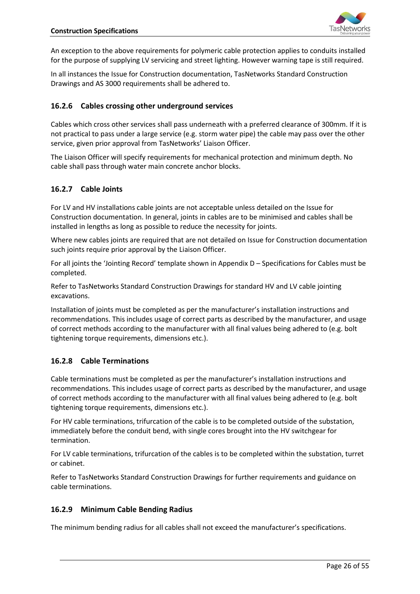

An exception to the above requirements for polymeric cable protection applies to conduits installed for the purpose of supplying LV servicing and street lighting. However warning tape is still required.

In all instances the Issue for Construction documentation, TasNetworks Standard Construction Drawings and AS 3000 requirements shall be adhered to.

#### <span id="page-25-0"></span>**16.2.6 Cables crossing other underground services**

Cables which cross other services shall pass underneath with a preferred clearance of 300mm. If it is not practical to pass under a large service (e.g. storm water pipe) the cable may pass over the other service, given prior approval from TasNetworks' Liaison Officer.

The Liaison Officer will specify requirements for mechanical protection and minimum depth. No cable shall pass through water main concrete anchor blocks.

#### <span id="page-25-1"></span>**16.2.7 Cable Joints**

For LV and HV installations cable joints are not acceptable unless detailed on the Issue for Construction documentation. In general, joints in cables are to be minimised and cables shall be installed in lengths as long as possible to reduce the necessity for joints.

Where new cables joints are required that are not detailed on Issue for Construction documentation such joints require prior approval by the Liaison Officer.

For all joints the 'Jointing Record' template shown in Appendix D – [Specifications for Cables](#page-50-0) must be completed.

Refer to TasNetworks Standard Construction Drawings for standard HV and LV cable jointing excavations.

Installation of joints must be completed as per the manufacturer's installation instructions and recommendations. This includes usage of correct parts as described by the manufacturer, and usage of correct methods according to the manufacturer with all final values being adhered to (e.g. bolt tightening torque requirements, dimensions etc.).

#### <span id="page-25-2"></span>**16.2.8 Cable Terminations**

Cable terminations must be completed as per the manufacturer's installation instructions and recommendations. This includes usage of correct parts as described by the manufacturer, and usage of correct methods according to the manufacturer with all final values being adhered to (e.g. bolt tightening torque requirements, dimensions etc.).

For HV cable terminations, trifurcation of the cable is to be completed outside of the substation, immediately before the conduit bend, with single cores brought into the HV switchgear for termination.

For LV cable terminations, trifurcation of the cables is to be completed within the substation, turret or cabinet.

Refer to TasNetworks Standard Construction Drawings for further requirements and guidance on cable terminations.

#### <span id="page-25-3"></span>**16.2.9 Minimum Cable Bending Radius**

The minimum bending radius for all cables shall not exceed the manufacturer's specifications.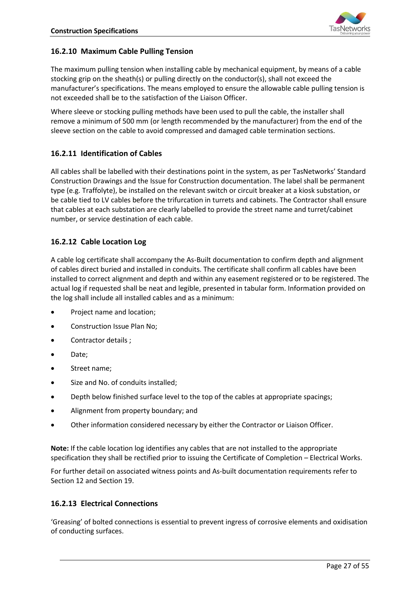

#### <span id="page-26-0"></span>**16.2.10 Maximum Cable Pulling Tension**

The maximum pulling tension when installing cable by mechanical equipment, by means of a cable stocking grip on the sheath(s) or pulling directly on the conductor(s), shall not exceed the manufacturer's specifications. The means employed to ensure the allowable cable pulling tension is not exceeded shall be to the satisfaction of the Liaison Officer.

Where sleeve or stocking pulling methods have been used to pull the cable, the installer shall remove a minimum of 500 mm (or length recommended by the manufacturer) from the end of the sleeve section on the cable to avoid compressed and damaged cable termination sections.

#### <span id="page-26-1"></span>**16.2.11 Identification of Cables**

All cables shall be labelled with their destinations point in the system, as per TasNetworks' Standard Construction Drawings and the Issue for Construction documentation. The label shall be permanent type (e.g. Traffolyte), be installed on the relevant switch or circuit breaker at a kiosk substation, or be cable tied to LV cables before the trifurcation in turrets and cabinets. The Contractor shall ensure that cables at each substation are clearly labelled to provide the street name and turret/cabinet number, or service destination of each cable.

#### <span id="page-26-2"></span>**16.2.12 Cable Location Log**

A cable log certificate shall accompany the As-Built documentation to confirm depth and alignment of cables direct buried and installed in conduits. The certificate shall confirm all cables have been installed to correct alignment and depth and within any easement registered or to be registered. The actual log if requested shall be neat and legible, presented in tabular form. Information provided on the log shall include all installed cables and as a minimum:

- Project name and location;
- Construction Issue Plan No;
- Contractor details ;
- Date;
- Street name;
- Size and No. of conduits installed;
- Depth below finished surface level to the top of the cables at appropriate spacings;
- Alignment from property boundary; and
- Other information considered necessary by either the Contractor or Liaison Officer.

**Note:** If the cable location log identifies any cables that are not installed to the appropriate specification they shall be rectified prior to issuing the Certificate of Completion – Electrical Works.

For further detail on associated witness points and As-built documentation requirements refer to Section [12](#page-15-2) and Section [19.](#page-41-2)

#### <span id="page-26-3"></span>**16.2.13 Electrical Connections**

'Greasing' of bolted connections is essential to prevent ingress of corrosive elements and oxidisation of conducting surfaces.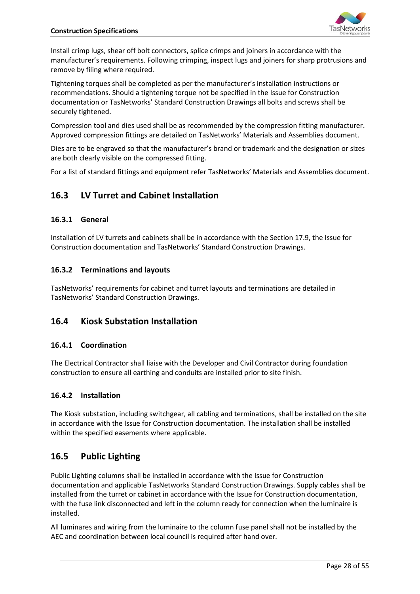

Install crimp lugs, shear off bolt connectors, splice crimps and joiners in accordance with the manufacturer's requirements. Following crimping, inspect lugs and joiners for sharp protrusions and remove by filing where required.

Tightening torques shall be completed as per the manufacturer's installation instructions or recommendations. Should a tightening torque not be specified in the Issue for Construction documentation or TasNetworks' Standard Construction Drawings all bolts and screws shall be securely tightened.

Compression tool and dies used shall be as recommended by the compression fitting manufacturer. Approved compression fittings are detailed on TasNetworks' Materials and Assemblies document.

Dies are to be engraved so that the manufacturer's brand or trademark and the designation or sizes are both clearly visible on the compressed fitting.

For a list of standard fittings and equipment refer TasNetworks' Materials and Assemblies document.

### <span id="page-27-0"></span>**16.3 LV Turret and Cabinet Installation**

#### <span id="page-27-1"></span>**16.3.1 General**

Installation of LV turrets and cabinets shall be in accordance with the Section [17.9,](#page-38-1) the Issue for Construction documentation and TasNetworks' Standard Construction Drawings.

#### <span id="page-27-2"></span>**16.3.2 Terminations and layouts**

TasNetworks' requirements for cabinet and turret layouts and terminations are detailed in TasNetworks' Standard Construction Drawings.

#### <span id="page-27-3"></span>**16.4 Kiosk Substation Installation**

#### <span id="page-27-4"></span>**16.4.1 Coordination**

The Electrical Contractor shall liaise with the Developer and Civil Contractor during foundation construction to ensure all earthing and conduits are installed prior to site finish.

#### <span id="page-27-5"></span>**16.4.2 Installation**

The Kiosk substation, including switchgear, all cabling and terminations, shall be installed on the site in accordance with the Issue for Construction documentation. The installation shall be installed within the specified easements where applicable.

#### <span id="page-27-6"></span>**16.5 Public Lighting**

Public Lighting columns shall be installed in accordance with the Issue for Construction documentation and applicable TasNetworks Standard Construction Drawings. Supply cables shall be installed from the turret or cabinet in accordance with the Issue for Construction documentation, with the fuse link disconnected and left in the column ready for connection when the luminaire is installed.

All luminares and wiring from the luminaire to the column fuse panel shall not be installed by the AEC and coordination between local council is required after hand over.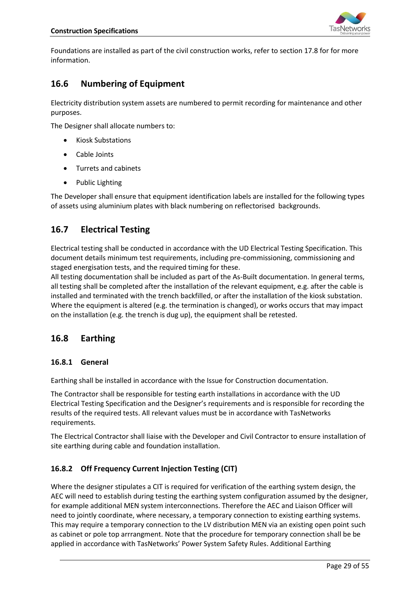

Foundations are installed as part of the civil construction works, refer to section [17.8](#page-38-0) for for more information.

### <span id="page-28-0"></span>**16.6 Numbering of Equipment**

Electricity distribution system assets are numbered to permit recording for maintenance and other purposes.

The Designer shall allocate numbers to:

- Kiosk Substations
- Cable Joints
- Turrets and cabinets
- Public Lighting

The Developer shall ensure that equipment identification labels are installed for the following types of assets using aluminium plates with black numbering on reflectorised backgrounds.

### <span id="page-28-1"></span>**16.7 Electrical Testing**

Electrical testing shall be conducted in accordance with the UD Electrical Testing Specification. This document details minimum test requirements, including pre-commissioning, commissioning and staged energisation tests, and the required timing for these.

All testing documentation shall be included as part of the As-Built documentation. In general terms, all testing shall be completed after the installation of the relevant equipment, e.g. after the cable is installed and terminated with the trench backfilled, or after the installation of the kiosk substation. Where the equipment is altered (e.g. the termination is changed), or works occurs that may impact on the installation (e.g. the trench is dug up), the equipment shall be retested.

### <span id="page-28-2"></span>**16.8 Earthing**

#### <span id="page-28-3"></span>**16.8.1 General**

Earthing shall be installed in accordance with the Issue for Construction documentation.

The Contractor shall be responsible for testing earth installations in accordance with the UD Electrical Testing Specification and the Designer's requirements and is responsible for recording the results of the required tests. All relevant values must be in accordance with TasNetworks requirements.

The Electrical Contractor shall liaise with the Developer and Civil Contractor to ensure installation of site earthing during cable and foundation installation.

#### <span id="page-28-4"></span>**16.8.2 Off Frequency Current Injection Testing (CIT)**

Where the designer stipulates a CIT is required for verification of the earthing system design, the AEC will need to establish during testing the earthing system configuration assumed by the designer, for example additional MEN system interconnections. Therefore the AEC and Liaison Officer will need to jointly coordinate, where necessary, a temporary connection to existing earthing systems. This may require a temporary connection to the LV distribution MEN via an existing open point such as cabinet or pole top arrrangment. Note that the procedure for temporary connection shall be be applied in accordance with TasNetworks' Power System Safety Rules. Additional Earthing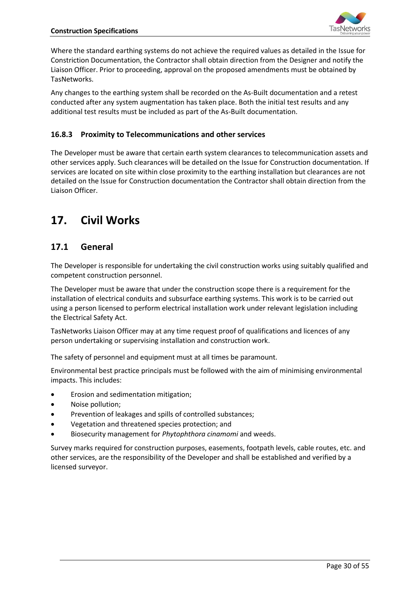

Where the standard earthing systems do not achieve the required values as detailed in the Issue for Constriction Documentation, the Contractor shall obtain direction from the Designer and notify the Liaison Officer. Prior to proceeding, approval on the proposed amendments must be obtained by TasNetworks.

Any changes to the earthing system shall be recorded on the As-Built documentation and a retest conducted after any system augmentation has taken place. Both the initial test results and any additional test results must be included as part of the As-Built documentation.

#### <span id="page-29-0"></span>**16.8.3 Proximity to Telecommunications and other services**

The Developer must be aware that certain earth system clearances to telecommunication assets and other services apply. Such clearances will be detailed on the Issue for Construction documentation. If services are located on site within close proximity to the earthing installation but clearances are not detailed on the Issue for Construction documentation the Contractor shall obtain direction from the Liaison Officer.

# <span id="page-29-1"></span>**17. Civil Works**

#### <span id="page-29-2"></span>**17.1 General**

The Developer is responsible for undertaking the civil construction works using suitably qualified and competent construction personnel.

The Developer must be aware that under the construction scope there is a requirement for the installation of electrical conduits and subsurface earthing systems. This work is to be carried out using a person licensed to perform electrical installation work under relevant legislation including the Electrical Safety Act.

TasNetworks Liaison Officer may at any time request proof of qualifications and licences of any person undertaking or supervising installation and construction work.

The safety of personnel and equipment must at all times be paramount.

Environmental best practice principals must be followed with the aim of minimising environmental impacts. This includes:

- Erosion and sedimentation mitigation;
- Noise pollution;
- Prevention of leakages and spills of controlled substances;
- Vegetation and threatened species protection; and
- Biosecurity management for *Phytophthora cinamomi* and weeds.

Survey marks required for construction purposes, easements, footpath levels, cable routes, etc. and other services, are the responsibility of the Developer and shall be established and verified by a licensed surveyor.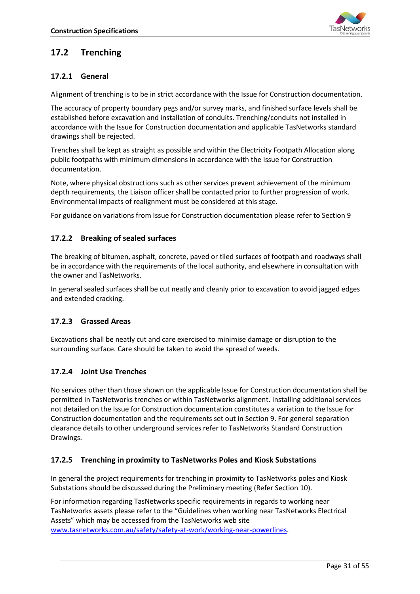

## <span id="page-30-0"></span>**17.2 Trenching**

### <span id="page-30-1"></span>**17.2.1 General**

Alignment of trenching is to be in strict accordance with the Issue for Construction documentation.

The accuracy of property boundary pegs and/or survey marks, and finished surface levels shall be established before excavation and installation of conduits. Trenching/conduits not installed in accordance with the Issue for Construction documentation and applicable TasNetworks standard drawings shall be rejected.

Trenches shall be kept as straight as possible and within the Electricity Footpath Allocation along public footpaths with minimum dimensions in accordance with the Issue for Construction documentation.

Note, where physical obstructions such as other services prevent achievement of the minimum depth requirements, the Liaison officer shall be contacted prior to further progression of work. Environmental impacts of realignment must be considered at this stage.

<span id="page-30-2"></span>For guidance on variations from Issue for Construction documentation please refer to Section [9](#page-14-1)

#### **17.2.2 Breaking of sealed surfaces**

The breaking of bitumen, asphalt, concrete, paved or tiled surfaces of footpath and roadways shall be in accordance with the requirements of the local authority, and elsewhere in consultation with the owner and TasNetworks.

In general sealed surfaces shall be cut neatly and cleanly prior to excavation to avoid jagged edges and extended cracking.

#### <span id="page-30-3"></span>**17.2.3 Grassed Areas**

Excavations shall be neatly cut and care exercised to minimise damage or disruption to the surrounding surface. Care should be taken to avoid the spread of weeds.

#### <span id="page-30-4"></span>**17.2.4 Joint Use Trenches**

No services other than those shown on the applicable Issue for Construction documentation shall be permitted in TasNetworks trenches or within TasNetworks alignment. Installing additional services not detailed on the Issue for Construction documentation constitutes a variation to the Issue for Construction documentation and the requirements set out in Section [9.](#page-14-1) For general separation clearance details to other underground services refer to TasNetworks Standard Construction Drawings.

#### <span id="page-30-5"></span>**17.2.5 Trenching in proximity to TasNetworks Poles and Kiosk Substations**

In general the project requirements for trenching in proximity to TasNetworks poles and Kiosk Substations should be discussed during the Preliminary meeting (Refer Section [10\)](#page-15-0).

For information regarding TasNetworks specific requirements in regards to working near TasNetworks assets please refer to the "Guidelines when working near TasNetworks Electrical Assets" which may be accessed from the TasNetworks web site [www.tasnetworks.com.au/safety/safety-at-work/working-near-powerlines.](http://www.tasnetworks.com.au/safety/safety-at-work/working-near-powerlines)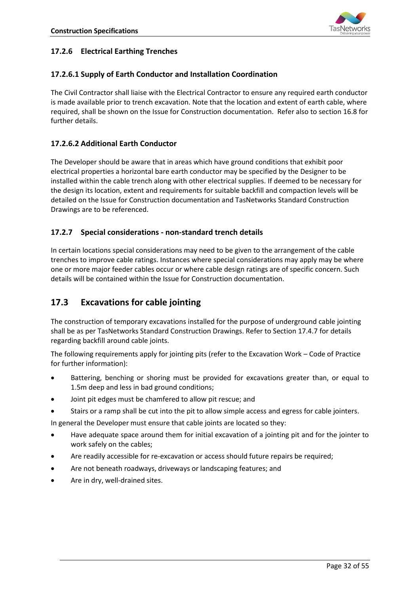

#### <span id="page-31-0"></span>**17.2.6 Electrical Earthing Trenches**

#### **17.2.6.1 Supply of Earth Conductor and Installation Coordination**

The Civil Contractor shall liaise with the Electrical Contractor to ensure any required earth conductor is made available prior to trench excavation. Note that the location and extent of earth cable, where required, shall be shown on the Issue for Construction documentation. Refer also to sectio[n 16.8](#page-28-2) for further details.

#### **17.2.6.2 Additional Earth Conductor**

The Developer should be aware that in areas which have ground conditions that exhibit poor electrical properties a horizontal bare earth conductor may be specified by the Designer to be installed within the cable trench along with other electrical supplies. If deemed to be necessary for the design its location, extent and requirements for suitable backfill and compaction levels will be detailed on the Issue for Construction documentation and TasNetworks Standard Construction Drawings are to be referenced.

#### <span id="page-31-1"></span>**17.2.7 Special considerations - non-standard trench details**

In certain locations special considerations may need to be given to the arrangement of the cable trenches to improve cable ratings. Instances where special considerations may apply may be where one or more major feeder cables occur or where cable design ratings are of specific concern. Such details will be contained within the Issue for Construction documentation.

### <span id="page-31-2"></span>**17.3 Excavations for cable jointing**

The construction of temporary excavations installed for the purpose of underground cable jointing shall be as per TasNetworks Standard Construction Drawings. Refer to Sectio[n 17.4.7](#page-34-0) for details regarding backfill around cable joints.

The following requirements apply for jointing pits (refer to the Excavation Work – Code of Practice for further information):

- Battering, benching or shoring must be provided for excavations greater than, or equal to 1.5m deep and less in bad ground conditions;
- Joint pit edges must be chamfered to allow pit rescue; and
- Stairs or a ramp shall be cut into the pit to allow simple access and egress for cable jointers.

In general the Developer must ensure that cable joints are located so they:

- Have adequate space around them for initial excavation of a jointing pit and for the jointer to work safely on the cables;
- Are readily accessible for re-excavation or access should future repairs be required;
- Are not beneath roadways, driveways or landscaping features; and
- Are in dry, well-drained sites.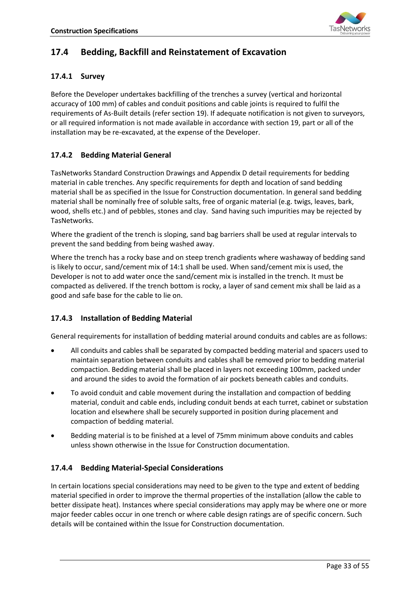

### <span id="page-32-0"></span>**17.4 Bedding, Backfill and Reinstatement of Excavation**

#### <span id="page-32-1"></span>**17.4.1 Survey**

Before the Developer undertakes backfilling of the trenches a survey (vertical and horizontal accuracy of 100 mm) of cables and conduit positions and cable joints is required to fulfil the requirements of As-Built details (refer sectio[n 19\)](#page-41-2). If adequate notification is not given to surveyors, or all required information is not made available in accordance with section [19,](#page-41-2) part or all of the installation may be re-excavated, at the expense of the Developer.

#### <span id="page-32-2"></span>**17.4.2 Bedding Material General**

TasNetworks Standard Construction Drawings and Appendix D detail requirements for bedding material in cable trenches. Any specific requirements for depth and location of sand bedding material shall be as specified in the Issue for Construction documentation. In general sand bedding material shall be nominally free of soluble salts, free of organic material (e.g. twigs, leaves, bark, wood, shells etc.) and of pebbles, stones and clay. Sand having such impurities may be rejected by TasNetworks.

Where the gradient of the trench is sloping, sand bag barriers shall be used at regular intervals to prevent the sand bedding from being washed away.

Where the trench has a rocky base and on steep trench gradients where washaway of bedding sand is likely to occur, sand/cement mix of 14:1 shall be used. When sand/cement mix is used, the Developer is not to add water once the sand/cement mix is installed in the trench. It must be compacted as delivered. If the trench bottom is rocky, a layer of sand cement mix shall be laid as a good and safe base for the cable to lie on.

#### <span id="page-32-3"></span>**17.4.3 Installation of Bedding Material**

General requirements for installation of bedding material around conduits and cables are as follows:

- All conduits and cables shall be separated by compacted bedding material and spacers used to maintain separation between conduits and cables shall be removed prior to bedding material compaction. Bedding material shall be placed in layers not exceeding 100mm, packed under and around the sides to avoid the formation of air pockets beneath cables and conduits.
- To avoid conduit and cable movement during the installation and compaction of bedding material, conduit and cable ends, including conduit bends at each turret, cabinet or substation location and elsewhere shall be securely supported in position during placement and compaction of bedding material.
- Bedding material is to be finished at a level of 75mm minimum above conduits and cables unless shown otherwise in the Issue for Construction documentation.

#### <span id="page-32-4"></span>**17.4.4 Bedding Material-Special Considerations**

In certain locations special considerations may need to be given to the type and extent of bedding material specified in order to improve the thermal properties of the installation (allow the cable to better dissipate heat). Instances where special considerations may apply may be where one or more major feeder cables occur in one trench or where cable design ratings are of specific concern. Such details will be contained within the Issue for Construction documentation.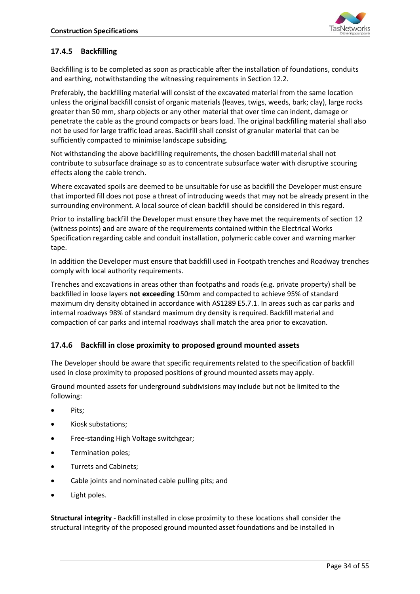

#### <span id="page-33-0"></span>**17.4.5 Backfilling**

Backfilling is to be completed as soon as practicable after the installation of foundations, conduits and earthing, notwithstanding the witnessing requirements in Sectio[n 12.2.](#page-16-0)

Preferably, the backfilling material will consist of the excavated material from the same location unless the original backfill consist of organic materials (leaves, twigs, weeds, bark; clay), large rocks greater than 50 mm, sharp objects or any other material that over time can indent, damage or penetrate the cable as the ground compacts or bears load. The original backfilling material shall also not be used for large traffic load areas. Backfill shall consist of granular material that can be sufficiently compacted to minimise landscape subsiding.

Not withstanding the above backfilling requirements, the chosen backfill material shall not contribute to subsurface drainage so as to concentrate subsurface water with disruptive scouring effects along the cable trench.

Where excavated spoils are deemed to be unsuitable for use as backfill the Developer must ensure that imported fill does not pose a threat of introducing weeds that may not be already present in the surrounding environment. A local source of clean backfill should be considered in this regard.

Prior to installing backfill the Developer must ensure they have met the requirements of section [12](#page-15-2) (witness points) and are aware of the requirements contained within the Electrical Works Specification regarding cable and conduit installation, polymeric cable cover and warning marker tape.

In addition the Developer must ensure that backfill used in Footpath trenches and Roadway trenches comply with local authority requirements.

Trenches and excavations in areas other than footpaths and roads (e.g. private property) shall be backfilled in loose layers **not exceeding** 150mm and compacted to achieve 95% of standard maximum dry density obtained in accordance with AS1289 E5.7.1. In areas such as car parks and internal roadways 98% of standard maximum dry density is required. Backfill material and compaction of car parks and internal roadways shall match the area prior to excavation.

#### <span id="page-33-1"></span>**17.4.6 Backfill in close proximity to proposed ground mounted assets**

The Developer should be aware that specific requirements related to the specification of backfill used in close proximity to proposed positions of ground mounted assets may apply.

Ground mounted assets for underground subdivisions may include but not be limited to the following:

- Pits;
- Kiosk substations;
- Free-standing High Voltage switchgear;
- Termination poles;
- Turrets and Cabinets;
- Cable joints and nominated cable pulling pits; and
- Light poles.

**Structural integrity** - Backfill installed in close proximity to these locations shall consider the structural integrity of the proposed ground mounted asset foundations and be installed in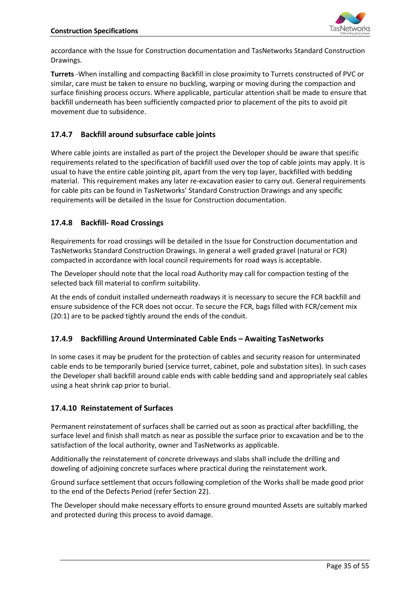

accordance with the Issue for Construction documentation and TasNetworks Standard Construction Drawings.

**Turrets** -When installing and compacting Backfill in close proximity to Turrets constructed of PVC or similar, care must be taken to ensure no buckling, warping or moving during the compaction and surface finishing process occurs. Where applicable, particular attention shall be made to ensure that backfill underneath has been sufficiently compacted prior to placement of the pits to avoid pit movement due to subsidence.

#### <span id="page-34-0"></span>**17.4.7 Backfill around subsurface cable joints**

Where cable joints are installed as part of the project the Developer should be aware that specific requirements related to the specification of backfill used over the top of cable joints may apply. It is usual to have the entire cable jointing pit, apart from the very top layer, backfilled with bedding material. This requirement makes any later re-excavation easier to carry out. General requirements for cable pits can be found in TasNetworks' Standard Construction Drawings and any specific requirements will be detailed in the Issue for Construction documentation.

#### <span id="page-34-1"></span>**17.4.8 Backfill- Road Crossings**

Requirements for road crossings will be detailed in the Issue for Construction documentation and TasNetworks Standard Construction Drawings. In general a well graded gravel (natural or FCR) compacted in accordance with local council requirements for road ways is acceptable.

The Developer should note that the local road Authority may call for compaction testing of the selected back fill material to confirm suitability.

At the ends of conduit installed underneath roadways it is necessary to secure the FCR backfill and ensure subsidence of the FCR does not occur. To secure the FCR, bags filled with FCR/cement mix (20:1) are to be packed tightly around the ends of the conduit.

#### <span id="page-34-2"></span>**17.4.9 Backfilling Around Unterminated Cable Ends – Awaiting TasNetworks**

In some cases it may be prudent for the protection of cables and security reason for unterminated cable ends to be temporarily buried (service turret, cabinet, pole and substation sites). In such cases the Developer shall backfill around cable ends with cable bedding sand and appropriately seal cables using a heat shrink cap prior to burial.

#### <span id="page-34-3"></span>**17.4.10 Reinstatement of Surfaces**

Permanent reinstatement of surfaces shall be carried out as soon as practical after backfilling, the surface level and finish shall match as near as possible the surface prior to excavation and be to the satisfaction of the local authority, owner and TasNetworks as applicable.

Additionally the reinstatement of concrete driveways and slabs shall include the drilling and doweling of adjoining concrete surfaces where practical during the reinstatement work.

Ground surface settlement that occurs following completion of the Works shall be made good prior to the end of the Defects Period (refer Section [22\)](#page-43-2).

The Developer should make necessary efforts to ensure ground mounted Assets are suitably marked and protected during this process to avoid damage.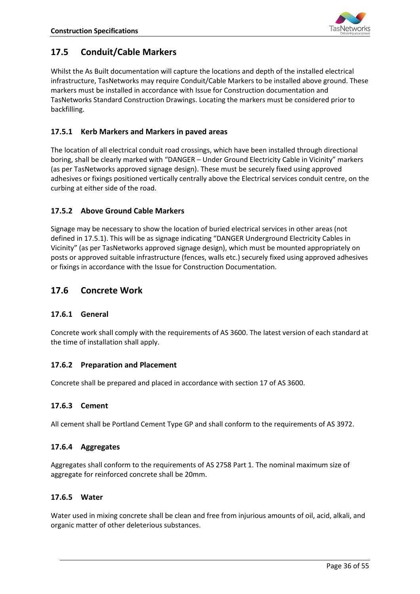

### <span id="page-35-0"></span>**17.5 Conduit/Cable Markers**

Whilst the As Built documentation will capture the locations and depth of the installed electrical infrastructure, TasNetworks may require Conduit/Cable Markers to be installed above ground. These markers must be installed in accordance with Issue for Construction documentation and TasNetworks Standard Construction Drawings. Locating the markers must be considered prior to backfilling.

#### <span id="page-35-1"></span>**17.5.1 Kerb Markers and Markers in paved areas**

The location of all electrical conduit road crossings, which have been installed through directional boring, shall be clearly marked with "DANGER – Under Ground Electricity Cable in Vicinity" markers (as per TasNetworks approved signage design). These must be securely fixed using approved adhesives or fixings positioned vertically centrally above the Electrical services conduit centre, on the curbing at either side of the road.

#### <span id="page-35-2"></span>**17.5.2 Above Ground Cable Markers**

Signage may be necessary to show the location of buried electrical services in other areas (not defined i[n 17.5.1](#page-35-1)). This will be as signage indicating "DANGER Underground Electricity Cables in Vicinity" (as per TasNetworks approved signage design), which must be mounted appropriately on posts or approved suitable infrastructure (fences, walls etc.) securely fixed using approved adhesives or fixings in accordance with the Issue for Construction Documentation.

### <span id="page-35-3"></span>**17.6 Concrete Work**

#### <span id="page-35-4"></span>**17.6.1 General**

Concrete work shall comply with the requirements of AS 3600. The latest version of each standard at the time of installation shall apply.

#### <span id="page-35-5"></span>**17.6.2 Preparation and Placement**

Concrete shall be prepared and placed in accordance with section 17 of AS 3600.

#### <span id="page-35-6"></span>**17.6.3 Cement**

All cement shall be Portland Cement Type GP and shall conform to the requirements of AS 3972.

#### <span id="page-35-7"></span>**17.6.4 Aggregates**

Aggregates shall conform to the requirements of AS 2758 Part 1. The nominal maximum size of aggregate for reinforced concrete shall be 20mm.

#### <span id="page-35-8"></span>**17.6.5 Water**

Water used in mixing concrete shall be clean and free from injurious amounts of oil, acid, alkali, and organic matter of other deleterious substances.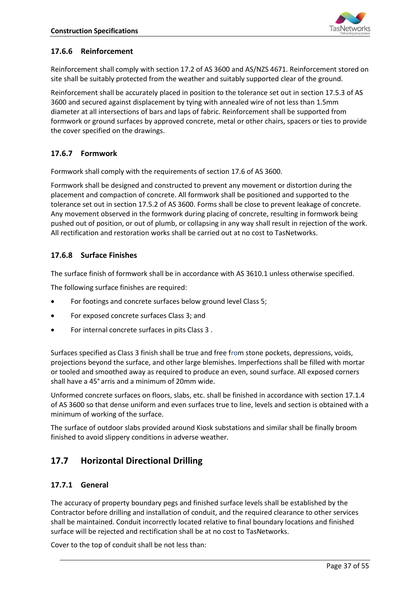

#### <span id="page-36-0"></span>**17.6.6 Reinforcement**

Reinforcement shall comply with section 17.2 of AS 3600 and AS/NZS 4671. Reinforcement stored on site shall be suitably protected from the weather and suitably supported clear of the ground.

Reinforcement shall be accurately placed in position to the tolerance set out in section 17.5.3 of AS 3600 and secured against displacement by tying with annealed wire of not less than 1.5mm diameter at all intersections of bars and laps of fabric. Reinforcement shall be supported from formwork or ground surfaces by approved concrete, metal or other chairs, spacers or ties to provide the cover specified on the drawings.

#### <span id="page-36-1"></span>**17.6.7 Formwork**

Formwork shall comply with the requirements of section 17.6 of AS 3600.

Formwork shall be designed and constructed to prevent any movement or distortion during the placement and compaction of concrete. All formwork shall be positioned and supported to the tolerance set out in section 17.5.2 of AS 3600. Forms shall be close to prevent leakage of concrete. Any movement observed in the formwork during placing of concrete, resulting in formwork being pushed out of position, or out of plumb, or collapsing in any way shall result in rejection of the work. All rectification and restoration works shall be carried out at no cost to TasNetworks.

#### <span id="page-36-2"></span>**17.6.8 Surface Finishes**

The surface finish of formwork shall be in accordance with AS 3610.1 unless otherwise specified.

The following surface finishes are required:

- For footings and concrete surfaces below ground level Class 5;
- For exposed concrete surfaces Class 3; and
- For internal concrete surfaces in pits Class 3 .

Surfaces specified as Class 3 finish shall be true and free from stone pockets, depressions, voids, projections beyond the surface, and other large blemishes. Imperfections shall be filled with mortar or tooled and smoothed away as required to produce an even, sound surface. All exposed corners shall have a 45° arris and a minimum of 20mm wide.

Unformed concrete surfaces on floors, slabs, etc. shall be finished in accordance with section 17.1.4 of AS 3600 so that dense uniform and even surfaces true to line, levels and section is obtained with a minimum of working of the surface.

The surface of outdoor slabs provided around Kiosk substations and similar shall be finally broom finished to avoid slippery conditions in adverse weather.

### <span id="page-36-3"></span>**17.7 Horizontal Directional Drilling**

#### <span id="page-36-4"></span>**17.7.1 General**

The accuracy of property boundary pegs and finished surface levels shall be established by the Contractor before drilling and installation of conduit, and the required clearance to other services shall be maintained. Conduit incorrectly located relative to final boundary locations and finished surface will be rejected and rectification shall be at no cost to TasNetworks.

Cover to the top of conduit shall be not less than: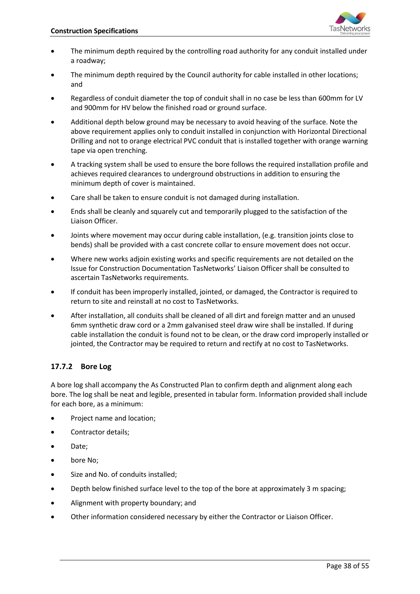

- The minimum depth required by the controlling road authority for any conduit installed under a roadway;
- The minimum depth required by the Council authority for cable installed in other locations; and
- Regardless of conduit diameter the top of conduit shall in no case be less than 600mm for LV and 900mm for HV below the finished road or ground surface.
- Additional depth below ground may be necessary to avoid heaving of the surface. Note the above requirement applies only to conduit installed in conjunction with Horizontal Directional Drilling and not to orange electrical PVC conduit that is installed together with orange warning tape via open trenching.
- A tracking system shall be used to ensure the bore follows the required installation profile and achieves required clearances to underground obstructions in addition to ensuring the minimum depth of cover is maintained.
- Care shall be taken to ensure conduit is not damaged during installation.
- Ends shall be cleanly and squarely cut and temporarily plugged to the satisfaction of the Liaison Officer.
- Joints where movement may occur during cable installation, (e.g. transition joints close to bends) shall be provided with a cast concrete collar to ensure movement does not occur.
- Where new works adjoin existing works and specific requirements are not detailed on the Issue for Construction Documentation TasNetworks' Liaison Officer shall be consulted to ascertain TasNetworks requirements.
- If conduit has been improperly installed, jointed, or damaged, the Contractor is required to return to site and reinstall at no cost to TasNetworks.
- After installation, all conduits shall be cleaned of all dirt and foreign matter and an unused 6mm synthetic draw cord or a 2mm galvanised steel draw wire shall be installed. If during cable installation the conduit is found not to be clean, or the draw cord improperly installed or jointed, the Contractor may be required to return and rectify at no cost to TasNetworks.

#### <span id="page-37-0"></span>**17.7.2 Bore Log**

A bore log shall accompany the As Constructed Plan to confirm depth and alignment along each bore. The log shall be neat and legible, presented in tabular form. Information provided shall include for each bore, as a minimum:

- Project name and location;
- Contractor details;
- Date;
- bore No;
- Size and No. of conduits installed;
- Depth below finished surface level to the top of the bore at approximately 3 m spacing;
- Alignment with property boundary; and
- Other information considered necessary by either the Contractor or Liaison Officer.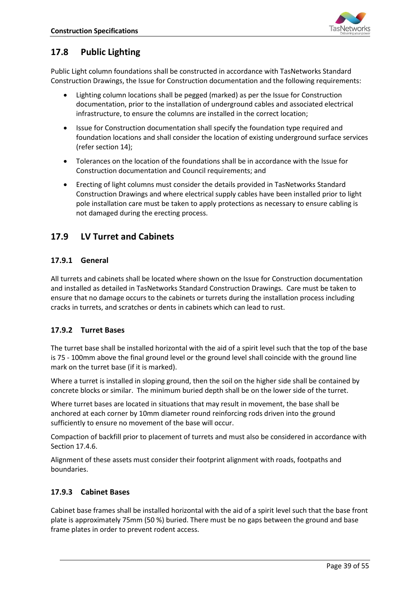

# <span id="page-38-0"></span>**17.8 Public Lighting**

Public Light column foundations shall be constructed in accordance with TasNetworks Standard Construction Drawings, the Issue for Construction documentation and the following requirements:

- Lighting column locations shall be pegged (marked) as per the Issue for Construction documentation, prior to the installation of underground cables and associated electrical infrastructure, to ensure the columns are installed in the correct location;
- Issue for Construction documentation shall specify the foundation type required and foundation locations and shall consider the location of existing underground surface services (refer sectio[n 14\)](#page-18-1);
- Tolerances on the location of the foundations shall be in accordance with the Issue for Construction documentation and Council requirements; and
- Erecting of light columns must consider the details provided in TasNetworks Standard Construction Drawings and where electrical supply cables have been installed prior to light pole installation care must be taken to apply protections as necessary to ensure cabling is not damaged during the erecting process.

### <span id="page-38-1"></span>**17.9 LV Turret and Cabinets**

#### <span id="page-38-2"></span>**17.9.1 General**

All turrets and cabinets shall be located where shown on the Issue for Construction documentation and installed as detailed in TasNetworks Standard Construction Drawings. Care must be taken to ensure that no damage occurs to the cabinets or turrets during the installation process including cracks in turrets, and scratches or dents in cabinets which can lead to rust.

#### <span id="page-38-3"></span>**17.9.2 Turret Bases**

The turret base shall be installed horizontal with the aid of a spirit level such that the top of the base is 75 - 100mm above the final ground level or the ground level shall coincide with the ground line mark on the turret base (if it is marked).

Where a turret is installed in sloping ground, then the soil on the higher side shall be contained by concrete blocks or similar. The minimum buried depth shall be on the lower side of the turret.

Where turret bases are located in situations that may result in movement, the base shall be anchored at each corner by 10mm diameter round reinforcing rods driven into the ground sufficiently to ensure no movement of the base will occur.

Compaction of backfill prior to placement of turrets and must also be considered in accordance with Sectio[n 17.4.6.](#page-33-1)

Alignment of these assets must consider their footprint alignment with roads, footpaths and boundaries.

#### <span id="page-38-4"></span>**17.9.3 Cabinet Bases**

Cabinet base frames shall be installed horizontal with the aid of a spirit level such that the base front plate is approximately 75mm (50 %) buried. There must be no gaps between the ground and base frame plates in order to prevent rodent access.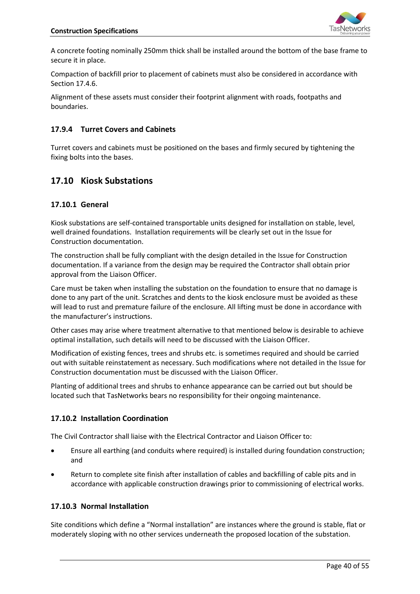

A concrete footing nominally 250mm thick shall be installed around the bottom of the base frame to secure it in place.

Compaction of backfill prior to placement of cabinets must also be considered in accordance with Sectio[n 17.4.6.](#page-33-1)

Alignment of these assets must consider their footprint alignment with roads, footpaths and boundaries.

#### <span id="page-39-0"></span>**17.9.4 Turret Covers and Cabinets**

Turret covers and cabinets must be positioned on the bases and firmly secured by tightening the fixing bolts into the bases.

### <span id="page-39-1"></span>**17.10 Kiosk Substations**

#### <span id="page-39-2"></span>**17.10.1 General**

Kiosk substations are self-contained transportable units designed for installation on stable, level, well drained foundations. Installation requirements will be clearly set out in the Issue for Construction documentation.

The construction shall be fully compliant with the design detailed in the Issue for Construction documentation. If a variance from the design may be required the Contractor shall obtain prior approval from the Liaison Officer.

Care must be taken when installing the substation on the foundation to ensure that no damage is done to any part of the unit. Scratches and dents to the kiosk enclosure must be avoided as these will lead to rust and premature failure of the enclosure. All lifting must be done in accordance with the manufacturer's instructions.

Other cases may arise where treatment alternative to that mentioned below is desirable to achieve optimal installation, such details will need to be discussed with the Liaison Officer.

Modification of existing fences, trees and shrubs etc. is sometimes required and should be carried out with suitable reinstatement as necessary. Such modifications where not detailed in the Issue for Construction documentation must be discussed with the Liaison Officer.

Planting of additional trees and shrubs to enhance appearance can be carried out but should be located such that TasNetworks bears no responsibility for their ongoing maintenance.

#### <span id="page-39-3"></span>**17.10.2 Installation Coordination**

The Civil Contractor shall liaise with the Electrical Contractor and Liaison Officer to:

- Ensure all earthing (and conduits where required) is installed during foundation construction; and
- Return to complete site finish after installation of cables and backfilling of cable pits and in accordance with applicable construction drawings prior to commissioning of electrical works.

#### <span id="page-39-4"></span>**17.10.3 Normal Installation**

Site conditions which define a "Normal installation" are instances where the ground is stable, flat or moderately sloping with no other services underneath the proposed location of the substation.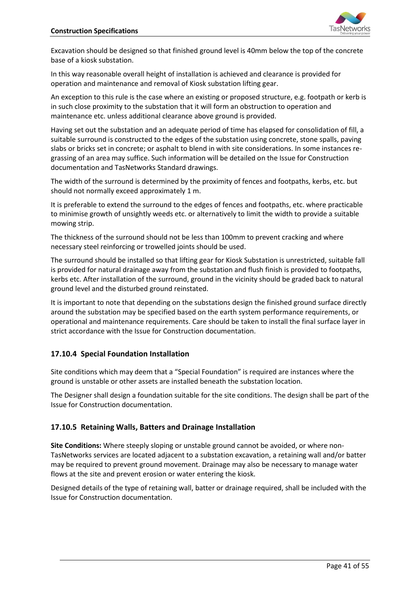

Excavation should be designed so that finished ground level is 40mm below the top of the concrete base of a kiosk substation.

In this way reasonable overall height of installation is achieved and clearance is provided for operation and maintenance and removal of Kiosk substation lifting gear.

An exception to this rule is the case where an existing or proposed structure, e.g. footpath or kerb is in such close proximity to the substation that it will form an obstruction to operation and maintenance etc. unless additional clearance above ground is provided.

Having set out the substation and an adequate period of time has elapsed for consolidation of fill, a suitable surround is constructed to the edges of the substation using concrete, stone spalls, paving slabs or bricks set in concrete; or asphalt to blend in with site considerations. In some instances regrassing of an area may suffice. Such information will be detailed on the Issue for Construction documentation and TasNetworks Standard drawings.

The width of the surround is determined by the proximity of fences and footpaths, kerbs, etc. but should not normally exceed approximately 1 m.

It is preferable to extend the surround to the edges of fences and footpaths, etc. where practicable to minimise growth of unsightly weeds etc. or alternatively to limit the width to provide a suitable mowing strip.

The thickness of the surround should not be less than 100mm to prevent cracking and where necessary steel reinforcing or trowelled joints should be used.

The surround should be installed so that lifting gear for Kiosk Substation is unrestricted, suitable fall is provided for natural drainage away from the substation and flush finish is provided to footpaths, kerbs etc. After installation of the surround, ground in the vicinity should be graded back to natural ground level and the disturbed ground reinstated.

It is important to note that depending on the substations design the finished ground surface directly around the substation may be specified based on the earth system performance requirements, or operational and maintenance requirements. Care should be taken to install the final surface layer in strict accordance with the Issue for Construction documentation.

#### <span id="page-40-0"></span>**17.10.4 Special Foundation Installation**

Site conditions which may deem that a "Special Foundation" is required are instances where the ground is unstable or other assets are installed beneath the substation location.

The Designer shall design a foundation suitable for the site conditions. The design shall be part of the Issue for Construction documentation.

#### <span id="page-40-1"></span>**17.10.5 Retaining Walls, Batters and Drainage Installation**

**Site Conditions:** Where steeply sloping or unstable ground cannot be avoided, or where non-TasNetworks services are located adjacent to a substation excavation, a retaining wall and/or batter may be required to prevent ground movement. Drainage may also be necessary to manage water flows at the site and prevent erosion or water entering the kiosk.

Designed details of the type of retaining wall, batter or drainage required, shall be included with the Issue for Construction documentation.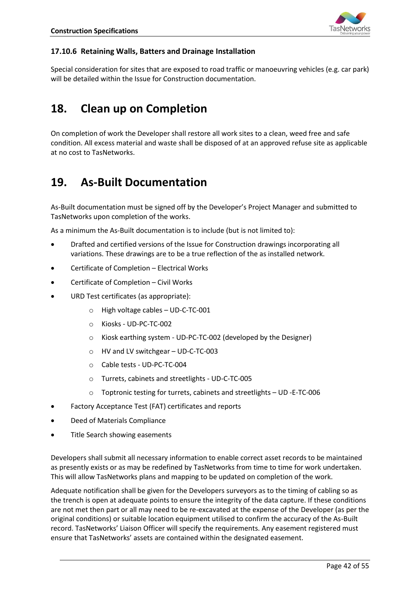

#### <span id="page-41-0"></span>**17.10.6 Retaining Walls, Batters and Drainage Installation**

Special consideration for sites that are exposed to road traffic or manoeuvring vehicles (e.g. car park) will be detailed within the Issue for Construction documentation.

# <span id="page-41-1"></span>**18. Clean up on Completion**

On completion of work the Developer shall restore all work sites to a clean, weed free and safe condition. All excess material and waste shall be disposed of at an approved refuse site as applicable at no cost to TasNetworks.

# <span id="page-41-2"></span>**19. As-Built Documentation**

As-Built documentation must be signed off by the Developer's Project Manager and submitted to TasNetworks upon completion of the works.

As a minimum the As-Built documentation is to include (but is not limited to):

- Drafted and certified versions of the Issue for Construction drawings incorporating all variations. These drawings are to be a true reflection of the as installed network.
- Certificate of Completion Electrical Works
- Certificate of Completion Civil Works
- URD Test certificates (as appropriate):
	- o High voltage cables UD-C-TC-001
	- o Kiosks UD-PC-TC-002
	- o Kiosk earthing system UD-PC-TC-002 (developed by the Designer)
	- o HV and LV switchgear UD-C-TC-003
	- o Cable tests UD-PC-TC-004
	- o Turrets, cabinets and streetlights UD-C-TC-005
	- o Toptronic testing for turrets, cabinets and streetlights UD -E-TC-006
- Factory Acceptance Test (FAT) certificates and reports
- Deed of Materials Compliance
- **•** Title Search showing easements

Developers shall submit all necessary information to enable correct asset records to be maintained as presently exists or as may be redefined by TasNetworks from time to time for work undertaken. This will allow TasNetworks plans and mapping to be updated on completion of the work.

Adequate notification shall be given for the Developers surveyors as to the timing of cabling so as the trench is open at adequate points to ensure the integrity of the data capture. If these conditions are not met then part or all may need to be re-excavated at the expense of the Developer (as per the original conditions) or suitable location equipment utilised to confirm the accuracy of the As-Built record. TasNetworks' Liaison Officer will specify the requirements. Any easement registered must ensure that TasNetworks' assets are contained within the designated easement.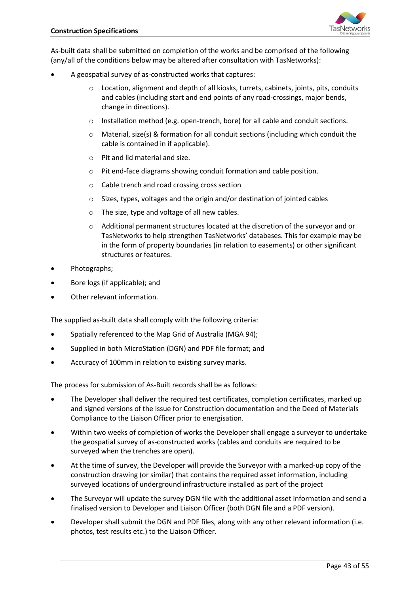

As-built data shall be submitted on completion of the works and be comprised of the following (any/all of the conditions below may be altered after consultation with TasNetworks):

- A geospatial survey of as-constructed works that captures:
	- o Location, alignment and depth of all kiosks, turrets, cabinets, joints, pits, conduits and cables (including start and end points of any road-crossings, major bends, change in directions).
	- $\circ$  Installation method (e.g. open-trench, bore) for all cable and conduit sections.
	- o Material, size(s) & formation for all conduit sections (including which conduit the cable is contained in if applicable).
	- o Pit and lid material and size.
	- o Pit end-face diagrams showing conduit formation and cable position.
	- o Cable trench and road crossing cross section
	- o Sizes, types, voltages and the origin and/or destination of jointed cables
	- o The size, type and voltage of all new cables.
	- o Additional permanent structures located at the discretion of the surveyor and or TasNetworks to help strengthen TasNetworks' databases. This for example may be in the form of property boundaries (in relation to easements) or other significant structures or features.
- Photographs;
- Bore logs (if applicable); and
- Other relevant information.

The supplied as-built data shall comply with the following criteria:

- Spatially referenced to the Map Grid of Australia (MGA 94);
- Supplied in both MicroStation (DGN) and PDF file format; and
- Accuracy of 100mm in relation to existing survey marks.

The process for submission of As-Built records shall be as follows:

- The Developer shall deliver the required test certificates, completion certificates, marked up and signed versions of the Issue for Construction documentation and the Deed of Materials Compliance to the Liaison Officer prior to energisation.
- Within two weeks of completion of works the Developer shall engage a surveyor to undertake the geospatial survey of as-constructed works (cables and conduits are required to be surveyed when the trenches are open).
- At the time of survey, the Developer will provide the Surveyor with a marked-up copy of the construction drawing (or similar) that contains the required asset information, including surveyed locations of underground infrastructure installed as part of the project
- The Surveyor will update the survey DGN file with the additional asset information and send a finalised version to Developer and Liaison Officer (both DGN file and a PDF version).
- Developer shall submit the DGN and PDF files, along with any other relevant information (i.e. photos, test results etc.) to the Liaison Officer.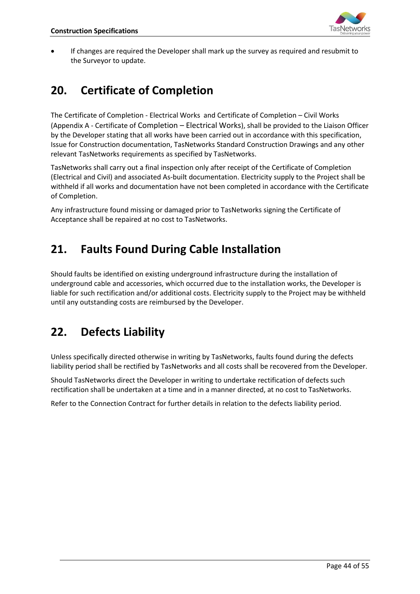

 If changes are required the Developer shall mark up the survey as required and resubmit to the Surveyor to update.

# <span id="page-43-0"></span>**20. Certificate of Completion**

The Certificate of Completion - Electrical Works and Certificate of Completion – Civil Works (Appendix A - Certificate of Completion – [Electrical Works](#page-44-0)), shall be provided to the Liaison Officer by the Developer stating that all works have been carried out in accordance with this specification, Issue for Construction documentation, TasNetworks Standard Construction Drawings and any other relevant TasNetworks requirements as specified by TasNetworks.

TasNetworks shall carry out a final inspection only after receipt of the Certificate of Completion (Electrical and Civil) and associated As-built documentation. Electricity supply to the Project shall be withheld if all works and documentation have not been completed in accordance with the Certificate of Completion.

Any infrastructure found missing or damaged prior to TasNetworks signing the Certificate of Acceptance shall be repaired at no cost to TasNetworks.

# <span id="page-43-1"></span>**21. Faults Found During Cable Installation**

Should faults be identified on existing underground infrastructure during the installation of underground cable and accessories, which occurred due to the installation works, the Developer is liable for such rectification and/or additional costs. Electricity supply to the Project may be withheld until any outstanding costs are reimbursed by the Developer.

# <span id="page-43-2"></span>**22. Defects Liability**

Unless specifically directed otherwise in writing by TasNetworks, faults found during the defects liability period shall be rectified by TasNetworks and all costs shall be recovered from the Developer.

Should TasNetworks direct the Developer in writing to undertake rectification of defects such rectification shall be undertaken at a time and in a manner directed, at no cost to TasNetworks.

Refer to the Connection Contract for further details in relation to the defects liability period.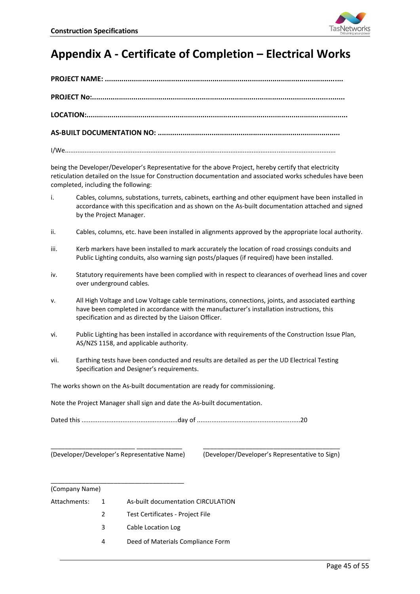

# <span id="page-44-0"></span>**Appendix A - Certificate of Completion – Electrical Works**

being the Developer/Developer's Representative for the above Project, hereby certify that electricity reticulation detailed on the Issue for Construction documentation and associated works schedules have been completed, including the following:

- i. Cables, columns, substations, turrets, cabinets, earthing and other equipment have been installed in accordance with this specification and as shown on the As-built documentation attached and signed by the Project Manager.
- ii. Cables, columns, etc. have been installed in alignments approved by the appropriate local authority.
- iii. Kerb markers have been installed to mark accurately the location of road crossings conduits and Public Lighting conduits, also warning sign posts/plaques (if required) have been installed.
- iv. Statutory requirements have been complied with in respect to clearances of overhead lines and cover over underground cables.
- v. All High Voltage and Low Voltage cable terminations, connections, joints, and associated earthing have been completed in accordance with the manufacturer's installation instructions, this specification and as directed by the Liaison Officer.
- vi. Public Lighting has been installed in accordance with requirements of the Construction Issue Plan, AS/NZS 1158, and applicable authority.
- vii. Earthing tests have been conducted and results are detailed as per the UD Electrical Testing Specification and Designer's requirements.

The works shown on the As-built documentation are ready for commissioning.

Note the Project Manager shall sign and date the As-built documentation.

Dated this ......................................................day of ..........................................................20

\_\_\_\_\_\_\_\_\_\_\_\_\_\_\_\_\_\_\_\_\_\_\_\_ \_\_\_\_\_\_\_\_\_\_\_\_\_ \_\_\_\_\_\_\_\_\_\_\_\_\_\_\_\_\_\_\_\_\_\_\_\_\_\_\_\_\_\_\_\_\_\_\_\_\_\_\_

\_\_\_\_\_\_\_\_\_\_\_\_\_\_\_\_\_\_\_\_\_\_\_\_\_\_\_\_\_\_\_\_\_\_\_\_\_\_

(Developer/Developer's Representative Name) (Developer/Developer's Representative to Sign)

(Company Name)

Attachments: 1 As-built documentation CIRCULATION

- 2 Test Certificates Project File
- 3 Cable Location Log
- 4 Deed of Materials Compliance Form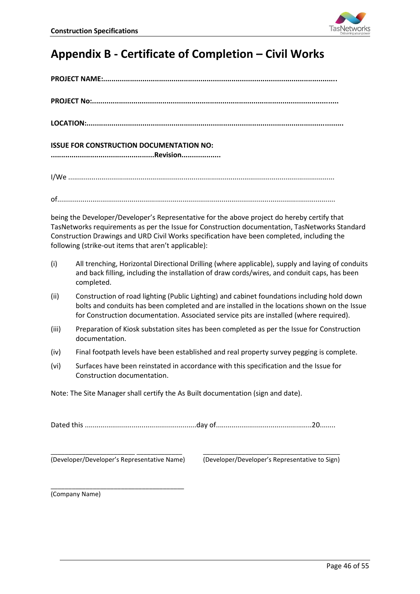

# <span id="page-45-0"></span>**Appendix B - Certificate of Completion – Civil Works**

**PROJECT NAME:................................................................................................................. PROJECT No:....................................................................................................................... LOCATION:............................................................................................................................ ISSUE FOR CONSTRUCTION DOCUMENTATION NO: ..................................................Revision...................**  I/We ........................................................................................................................................ of.............................................................................................................................................. being the Developer/Developer's Representative for the above project do hereby certify that TasNetworks requirements as per the Issue for Construction documentation, TasNetworks Standard Construction Drawings and URD Civil Works specification have been completed, including the following (strike-out items that aren't applicable): (i) All trenching, Horizontal Directional Drilling (where applicable), supply and laying of conduits and back filling, including the installation of draw cords/wires, and conduit caps, has been completed. (ii) Construction of road lighting (Public Lighting) and cabinet foundations including hold down bolts and conduits has been completed and are installed in the locations shown on the Issue for Construction documentation. Associated service pits are installed (where required). (iii) Preparation of Kiosk substation sites has been completed as per the Issue for Construction documentation. (iv) Final footpath levels have been established and real property survey pegging is complete. (vi) Surfaces have been reinstated in accordance with this specification and the Issue for Construction documentation. Note: The Site Manager shall certify the As Built documentation (sign and date). Dated this .........................................................day of.................................................20........ \_\_\_\_\_\_\_\_\_\_\_\_\_\_\_\_\_\_\_\_\_\_\_\_ \_\_\_\_\_\_\_\_\_\_\_\_\_ \_\_\_\_\_\_\_\_\_\_\_\_\_\_\_\_\_\_\_\_\_\_\_\_\_\_\_\_\_\_\_\_\_\_\_\_\_\_\_ (Developer/Developer's Representative Name) (Developer/Developer's Representative to Sign)

(Company Name)

\_\_\_\_\_\_\_\_\_\_\_\_\_\_\_\_\_\_\_\_\_\_\_\_\_\_\_\_\_\_\_\_\_\_\_\_\_\_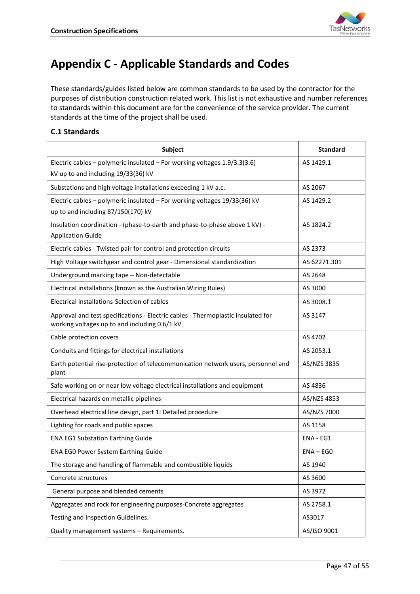

# <span id="page-46-0"></span>**Appendix C - Applicable Standards and Codes**

These standards/guides listed below are common standards to be used by the contractor for the purposes of distribution construction related work. This list is not exhaustive and number references to standards within this document are for the convenience of the service provider. The current standards at the time of the project shall be used.

#### **C.1 Standards**

| <b>Subject</b>                                                                                                                    | <b>Standard</b> |
|-----------------------------------------------------------------------------------------------------------------------------------|-----------------|
| Electric cables - polymeric insulated - For working voltages 1.9/3.3(3.6)                                                         | AS 1429.1       |
| kV up to and including 19/33(36) kV                                                                                               |                 |
| Substations and high voltage installations exceeding 1 kV a.c.                                                                    | AS 2067         |
| Electric cables - polymeric insulated - For working voltages 19/33(36) kV                                                         | AS 1429.2       |
| up to and including 87/150(170) kV                                                                                                |                 |
| Insulation coordination - (phase-to-earth and phase-to-phase above 1 kV) -<br><b>Application Guide</b>                            | AS 1824.2       |
| Electric cables - Twisted pair for control and protection circuits                                                                | AS 2373         |
| High Voltage switchgear and control gear - Dimensional standardization                                                            | AS 62271.301    |
| Underground marking tape - Non-detectable                                                                                         | AS 2648         |
| Electrical installations (known as the Australian Wiring Rules)                                                                   | AS 3000         |
| Electrical installations-Selection of cables                                                                                      | AS 3008.1       |
| Approval and test specifications - Electric cables - Thermoplastic insulated for<br>working voltages up to and including 0.6/1 kV | AS 3147         |
| Cable protection covers                                                                                                           | AS 4702         |
| Conduits and fittings for electrical installations                                                                                | AS 2053.1       |
| Earth potential rise-protection of telecommunication network users, personnel and<br>plant                                        | AS/NZS 3835     |
| Safe working on or near low voltage electrical installations and equipment                                                        | AS 4836         |
| Electrical hazards on metallic pipelines                                                                                          | AS/NZS 4853     |
| Overhead electrical line design, part 1: Detailed procedure                                                                       | AS/NZS 7000     |
| Lighting for roads and public spaces                                                                                              | AS 1158         |
| <b>ENA EG1 Substation Earthing Guide</b>                                                                                          | ENA - EG1       |
| ENA EGO Power System Earthing Guide                                                                                               | $ENA - EGO$     |
| The storage and handling of flammable and combustible liquids                                                                     | AS 1940         |
| Concrete structures                                                                                                               | AS 3600         |
| General purpose and blended cements                                                                                               | AS 3972         |
| Aggregates and rock for engineering purposes-Concrete aggregates                                                                  | AS 2758.1       |
| Testing and Inspection Guidelines.                                                                                                | AS3017          |
| Quality management systems - Requirements.                                                                                        | AS/ISO 9001     |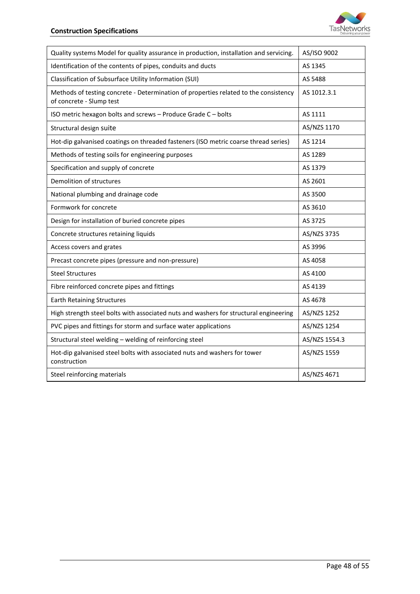

| Quality systems Model for quality assurance in production, installation and servicing.                           | AS/ISO 9002   |
|------------------------------------------------------------------------------------------------------------------|---------------|
| Identification of the contents of pipes, conduits and ducts                                                      | AS 1345       |
| Classification of Subsurface Utility Information (SUI)                                                           | AS 5488       |
| Methods of testing concrete - Determination of properties related to the consistency<br>of concrete - Slump test | AS 1012.3.1   |
| ISO metric hexagon bolts and screws - Produce Grade C - bolts                                                    | AS 1111       |
| Structural design suite                                                                                          | AS/NZS 1170   |
| Hot-dip galvanised coatings on threaded fasteners (ISO metric coarse thread series)                              | AS 1214       |
| Methods of testing soils for engineering purposes                                                                | AS 1289       |
| Specification and supply of concrete                                                                             | AS 1379       |
| Demolition of structures                                                                                         | AS 2601       |
| National plumbing and drainage code                                                                              | AS 3500       |
| Formwork for concrete                                                                                            | AS 3610       |
| Design for installation of buried concrete pipes                                                                 | AS 3725       |
| Concrete structures retaining liquids                                                                            | AS/NZS 3735   |
| Access covers and grates                                                                                         | AS 3996       |
| Precast concrete pipes (pressure and non-pressure)                                                               | AS 4058       |
| <b>Steel Structures</b>                                                                                          | AS 4100       |
| Fibre reinforced concrete pipes and fittings                                                                     | AS 4139       |
| <b>Earth Retaining Structures</b>                                                                                | AS 4678       |
| High strength steel bolts with associated nuts and washers for structural engineering                            | AS/NZS 1252   |
| PVC pipes and fittings for storm and surface water applications                                                  | AS/NZS 1254   |
| Structural steel welding - welding of reinforcing steel                                                          | AS/NZS 1554.3 |
| Hot-dip galvanised steel bolts with associated nuts and washers for tower<br>construction                        | AS/NZS 1559   |
| Steel reinforcing materials                                                                                      | AS/NZS 4671   |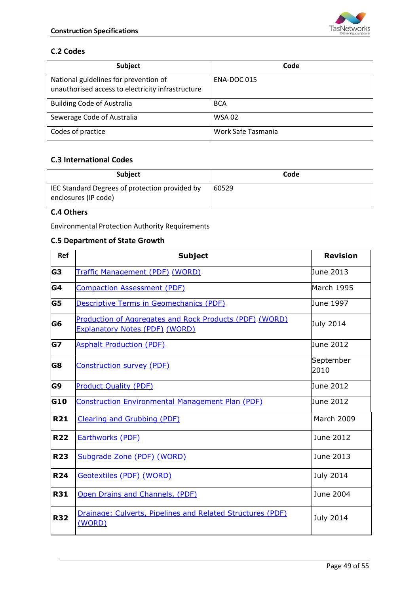

#### **C.2 Codes**

| <b>Subject</b>                                                                             | Code               |
|--------------------------------------------------------------------------------------------|--------------------|
| National guidelines for prevention of<br>unauthorised access to electricity infrastructure | ENA-DOC 015        |
| <b>Building Code of Australia</b>                                                          | <b>BCA</b>         |
| Sewerage Code of Australia                                                                 | <b>WSA02</b>       |
| Codes of practice                                                                          | Work Safe Tasmania |

#### **C.3 International Codes**

| <b>Subject</b>                                                         | Code  |
|------------------------------------------------------------------------|-------|
| IEC Standard Degrees of protection provided by<br>enclosures (IP code) | 60529 |

#### **C.4 Others**

Environmental Protection Authority Requirements

### **C.5 Department of State Growth**

| Ref        | <b>Subject</b>                                                                                   | <b>Revision</b>   |
|------------|--------------------------------------------------------------------------------------------------|-------------------|
| G3         | Traffic Management (PDF) (WORD)                                                                  | June 2013         |
| G4         | <b>Compaction Assessment (PDF)</b>                                                               | March 1995        |
| G5         | Descriptive Terms in Geomechanics (PDF)                                                          | June 1997         |
| G6         | Production of Aggregates and Rock Products (PDF) (WORD)<br><b>Explanatory Notes (PDF) (WORD)</b> | July 2014         |
| G7         | <b>Asphalt Production (PDF)</b>                                                                  | June 2012         |
| G8         | <b>Construction survey (PDF)</b>                                                                 | September<br>2010 |
| G9         | <b>Product Quality (PDF)</b>                                                                     | June 2012         |
| G10        | <b>Construction Environmental Management Plan (PDF)</b>                                          | June 2012         |
| <b>R21</b> | Clearing and Grubbing (PDF)                                                                      | <b>March 2009</b> |
| <b>R22</b> | Earthworks (PDF)                                                                                 | June 2012         |
| <b>R23</b> | Subgrade Zone (PDF) (WORD)                                                                       | June 2013         |
| <b>R24</b> | Geotextiles (PDF) (WORD)                                                                         | <b>July 2014</b>  |
| <b>R31</b> | Open Drains and Channels, (PDF)                                                                  | June 2004         |
| <b>R32</b> | Drainage: Culverts, Pipelines and Related Structures (PDF)<br>(WORD)                             | <b>July 2014</b>  |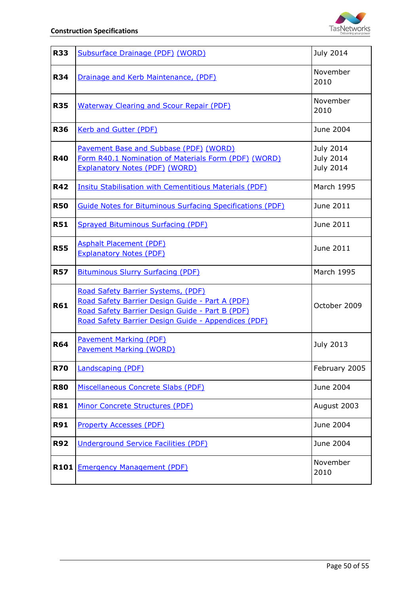

| <b>R33</b>  | Subsurface Drainage (PDF) (WORD)                                                                                                                                                                | <b>July 2014</b>                                         |
|-------------|-------------------------------------------------------------------------------------------------------------------------------------------------------------------------------------------------|----------------------------------------------------------|
| <b>R34</b>  | Drainage and Kerb Maintenance, (PDF)                                                                                                                                                            | November<br>2010                                         |
| <b>R35</b>  | <b>Waterway Clearing and Scour Repair (PDF)</b>                                                                                                                                                 | November<br>2010                                         |
| <b>R36</b>  | <b>Kerb and Gutter (PDF)</b>                                                                                                                                                                    | June 2004                                                |
| <b>R40</b>  | Pavement Base and Subbase (PDF) (WORD)<br>Form R40.1 Nomination of Materials Form (PDF) (WORD)<br><b>Explanatory Notes (PDF) (WORD)</b>                                                         | <b>July 2014</b><br><b>July 2014</b><br><b>July 2014</b> |
| <b>R42</b>  | <b>Insitu Stabilisation with Cementitious Materials (PDF)</b>                                                                                                                                   | March 1995                                               |
| <b>R50</b>  | <b>Guide Notes for Bituminous Surfacing Specifications (PDF)</b>                                                                                                                                | June 2011                                                |
| <b>R51</b>  | <b>Sprayed Bituminous Surfacing (PDF)</b>                                                                                                                                                       | June 2011                                                |
| <b>R55</b>  | <b>Asphalt Placement (PDF)</b><br><b>Explanatory Notes (PDF)</b>                                                                                                                                | June 2011                                                |
| <b>R57</b>  | <b>Bituminous Slurry Surfacing (PDF)</b>                                                                                                                                                        | <b>March 1995</b>                                        |
| <b>R61</b>  | Road Safety Barrier Systems, (PDF)<br>Road Safety Barrier Design Guide - Part A (PDF)<br>Road Safety Barrier Design Guide - Part B (PDF)<br>Road Safety Barrier Design Guide - Appendices (PDF) | October 2009                                             |
| <b>R64</b>  | <b>Pavement Marking (PDF)</b><br><b>Pavement Marking (WORD)</b>                                                                                                                                 | July 2013                                                |
| <b>R70</b>  | <b>Landscaping (PDF)</b>                                                                                                                                                                        | February 2005                                            |
| <b>R80</b>  | Miscellaneous Concrete Slabs (PDF)                                                                                                                                                              | June 2004                                                |
| <b>R81</b>  | Minor Concrete Structures (PDF)                                                                                                                                                                 | August 2003                                              |
| <b>R91</b>  | <b>Property Accesses (PDF)</b>                                                                                                                                                                  | June 2004                                                |
| <b>R92</b>  | <b>Underground Service Facilities (PDF)</b>                                                                                                                                                     | June 2004                                                |
| <b>R101</b> | <b>Emergency Management (PDF)</b>                                                                                                                                                               | November<br>2010                                         |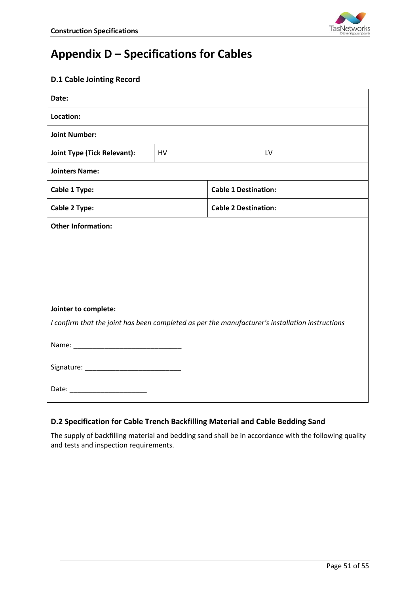

# <span id="page-50-0"></span>**Appendix D – Specifications for Cables**

### **D.1 Cable Jointing Record**

| Date:                                                                                           |           |                             |    |  |
|-------------------------------------------------------------------------------------------------|-----------|-----------------------------|----|--|
| Location:                                                                                       |           |                             |    |  |
| <b>Joint Number:</b>                                                                            |           |                             |    |  |
| <b>Joint Type (Tick Relevant):</b>                                                              | <b>HV</b> |                             | LV |  |
| <b>Jointers Name:</b>                                                                           |           |                             |    |  |
| Cable 1 Type:                                                                                   |           | <b>Cable 1 Destination:</b> |    |  |
| Cable 2 Type:                                                                                   |           | <b>Cable 2 Destination:</b> |    |  |
| <b>Other Information:</b>                                                                       |           |                             |    |  |
|                                                                                                 |           |                             |    |  |
|                                                                                                 |           |                             |    |  |
|                                                                                                 |           |                             |    |  |
|                                                                                                 |           |                             |    |  |
| Jointer to complete:                                                                            |           |                             |    |  |
| I confirm that the joint has been completed as per the manufacturer's installation instructions |           |                             |    |  |
|                                                                                                 |           |                             |    |  |
|                                                                                                 |           |                             |    |  |
|                                                                                                 |           |                             |    |  |

#### **D.2 Specification for Cable Trench Backfilling Material and Cable Bedding Sand**

The supply of backfilling material and bedding sand shall be in accordance with the following quality and tests and inspection requirements.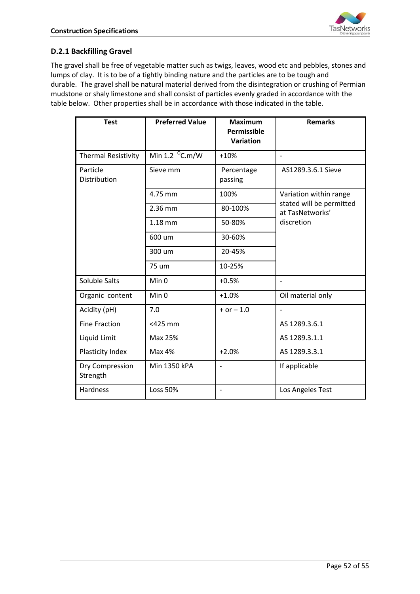

#### **D.2.1 Backfilling Gravel**

The gravel shall be free of vegetable matter such as twigs, leaves, wood etc and pebbles, stones and lumps of clay. It is to be of a tightly binding nature and the particles are to be tough and durable. The gravel shall be natural material derived from the disintegration or crushing of Permian mudstone or shaly limestone and shall consist of particles evenly graded in accordance with the table below. Other properties shall be in accordance with those indicated in the table.

| <b>Test</b>                 | <b>Preferred Value</b>   | <b>Maximum</b><br>Permissible<br><b>Variation</b> | <b>Remarks</b>                              |
|-----------------------------|--------------------------|---------------------------------------------------|---------------------------------------------|
| <b>Thermal Resistivity</b>  | Min $1.2 \text{ °C.m/W}$ | $+10%$                                            |                                             |
| Particle<br>Distribution    | Sieve mm                 | Percentage<br>passing                             | AS1289.3.6.1 Sieve                          |
|                             | 4.75 mm                  | 100%                                              | Variation within range                      |
|                             | 2.36 mm                  | 80-100%                                           | stated will be permitted<br>at TasNetworks' |
|                             | $1.18$ mm                | 50-80%                                            | discretion                                  |
|                             | 600 um                   | 30-60%                                            |                                             |
|                             | 300 um                   | 20-45%                                            |                                             |
|                             | 75 um                    | 10-25%                                            |                                             |
| Soluble Salts               | Min 0                    | $+0.5%$                                           |                                             |
| Organic content             | Min <sub>0</sub>         | $+1.0%$                                           | Oil material only                           |
| Acidity (pH)                | 7.0                      | $+ or - 1.0$                                      |                                             |
| <b>Fine Fraction</b>        | <425 mm                  |                                                   | AS 1289.3.6.1                               |
| Liquid Limit                | Max 25%                  |                                                   | AS 1289.3.1.1                               |
| Plasticity Index            | Max 4%                   | $+2.0%$                                           | AS 1289.3.3.1                               |
| Dry Compression<br>Strength | Min 1350 kPA             | $\overline{a}$                                    | If applicable                               |
| <b>Hardness</b>             | <b>Loss 50%</b>          | $\overline{\phantom{a}}$                          | Los Angeles Test                            |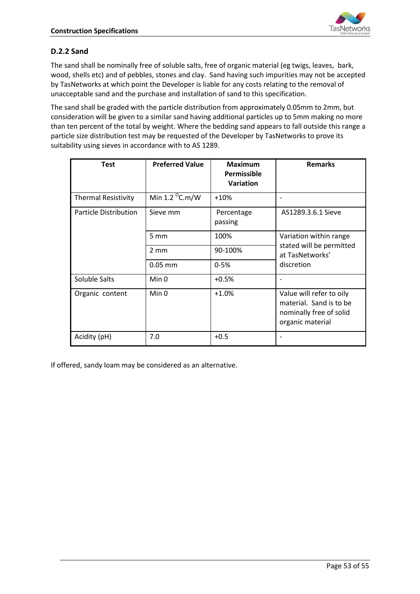

#### **D.2.2 Sand**

The sand shall be nominally free of soluble salts, free of organic material (eg twigs, leaves, bark, wood, shells etc) and of pebbles, stones and clay. Sand having such impurities may not be accepted by TasNetworks at which point the Developer is liable for any costs relating to the removal of unacceptable sand and the purchase and installation of sand to this specification.

The sand shall be graded with the particle distribution from approximately 0.05mm to 2mm, but consideration will be given to a similar sand having additional particles up to 5mm making no more than ten percent of the total by weight. Where the bedding sand appears to fall outside this range a particle size distribution test may be requested of the Developer by TasNetworks to prove its suitability using sieves in accordance with to AS 1289.

| <b>Test</b>                | <b>Preferred Value</b>  | <b>Maximum</b><br>Permissible<br>Variation | <b>Remarks</b>                                                                                     |
|----------------------------|-------------------------|--------------------------------------------|----------------------------------------------------------------------------------------------------|
| <b>Thermal Resistivity</b> | Min $1.2^{\circ}$ C.m/W | $+10%$                                     |                                                                                                    |
| Particle Distribution      | Sieve mm                | Percentage<br>passing                      | AS1289.3.6.1 Sieve                                                                                 |
|                            | $5 \text{ mm}$          | 100%                                       | Variation within range                                                                             |
|                            | 2 mm                    | 90-100%                                    | stated will be permitted<br>at TasNetworks'                                                        |
|                            | $0.05$ mm               | $0 - 5%$                                   | discretion                                                                                         |
| Soluble Salts              | Min 0                   | $+0.5%$                                    |                                                                                                    |
| Organic content            | Min <sub>0</sub>        | $+1.0%$                                    | Value will refer to oily<br>material. Sand is to be<br>nominally free of solid<br>organic material |
| Acidity (pH)               | 7.0                     | $+0.5$                                     |                                                                                                    |

If offered, sandy loam may be considered as an alternative.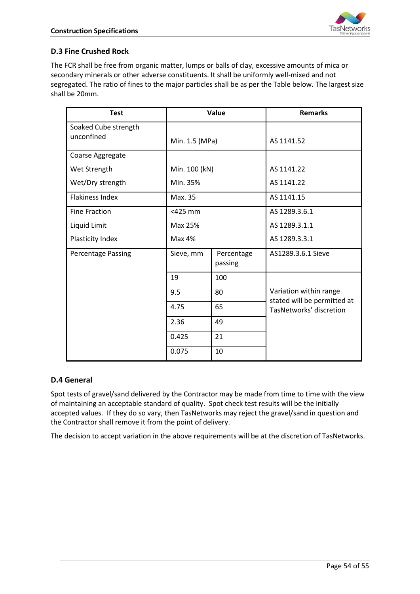#### **D.3 Fine Crushed Rock**

The FCR shall be free from organic matter, lumps or balls of clay, excessive amounts of mica or secondary minerals or other adverse constituents. It shall be uniformly well-mixed and not segregated. The ratio of fines to the major particles shall be as per the Table below. The largest size shall be 20mm.

| <b>Test</b>                        | Value          |                       | <b>Remarks</b>                                        |
|------------------------------------|----------------|-----------------------|-------------------------------------------------------|
| Soaked Cube strength<br>unconfined | Min. 1.5 (MPa) |                       | AS 1141.52                                            |
| Coarse Aggregate                   |                |                       |                                                       |
| Wet Strength                       | Min. 100 (kN)  |                       | AS 1141.22                                            |
| Wet/Dry strength                   | Min. 35%       |                       | AS 1141.22                                            |
| <b>Flakiness Index</b>             | Max. 35        |                       | AS 1141.15                                            |
| <b>Fine Fraction</b>               | <425 mm        |                       | AS 1289.3.6.1                                         |
| Liquid Limit                       | Max 25%        |                       | AS 1289.3.1.1                                         |
| Plasticity Index                   | Max 4%         |                       | AS 1289.3.3.1                                         |
| <b>Percentage Passing</b>          | Sieve, mm      | Percentage<br>passing | AS1289.3.6.1 Sieve                                    |
|                                    | 19             | 100                   |                                                       |
|                                    | 9.5            | 80                    | Variation within range<br>stated will be permitted at |
|                                    | 4.75           | 65                    | TasNetworks' discretion                               |
|                                    | 2.36           | 49                    |                                                       |
|                                    | 0.425          | 21                    |                                                       |
|                                    | 0.075          | 10                    |                                                       |

#### **D.4 General**

Spot tests of gravel/sand delivered by the Contractor may be made from time to time with the view of maintaining an acceptable standard of quality. Spot check test results will be the initially accepted values. If they do so vary, then TasNetworks may reject the gravel/sand in question and the Contractor shall remove it from the point of delivery.

The decision to accept variation in the above requirements will be at the discretion of TasNetworks.